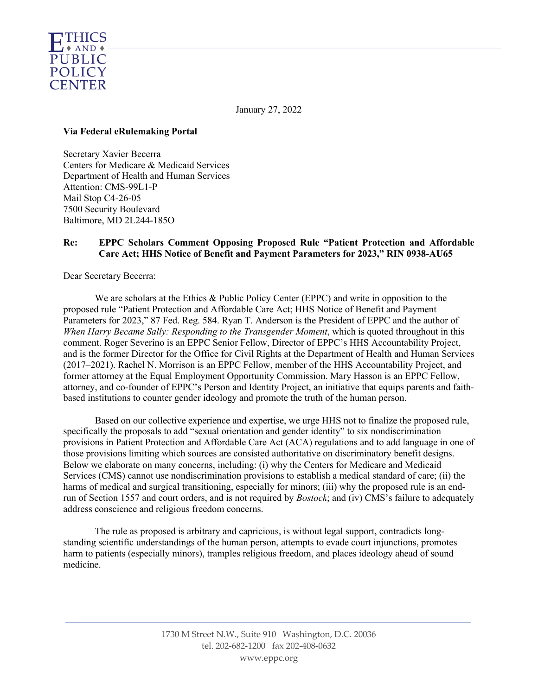January 27, 2022



**Via Federal eRulemaking Portal**

Secretary Xavier Becerra Centers for Medicare & Medicaid Services Department of Health and Human Services Attention: CMS-99L1-P Mail Stop C4-26-05 7500 Security Boulevard Baltimore, MD 2L244-185O

# **Re: EPPC Scholars Comment Opposing Proposed Rule "Patient Protection and Affordable Care Act; HHS Notice of Benefit and Payment Parameters for 2023," RIN 0938-AU65**

Dear Secretary Becerra:

We are scholars at the Ethics & Public Policy Center (EPPC) and write in opposition to the proposed rule "Patient Protection and Affordable Care Act; HHS Notice of Benefit and Payment Parameters for 2023," 87 Fed. Reg. 584. Ryan T. Anderson is the President of EPPC and the author of *When Harry Became Sally: Responding to the Transgender Moment*, which is quoted throughout in this comment. Roger Severino is an EPPC Senior Fellow, Director of EPPC's HHS Accountability Project, and is the former Director for the Office for Civil Rights at the Department of Health and Human Services (2017–2021). Rachel N. Morrison is an EPPC Fellow, member of the HHS Accountability Project, and former attorney at the Equal Employment Opportunity Commission. Mary Hasson is an EPPC Fellow, attorney, and co-founder of EPPC's Person and Identity Project, an initiative that equips parents and faithbased institutions to counter gender ideology and promote the truth of the human person.

Based on our collective experience and expertise, we urge HHS not to finalize the proposed rule, specifically the proposals to add "sexual orientation and gender identity" to six nondiscrimination provisions in Patient Protection and Affordable Care Act (ACA) regulations and to add language in one of those provisions limiting which sources are consisted authoritative on discriminatory benefit designs. Below we elaborate on many concerns, including: (i) why the Centers for Medicare and Medicaid Services (CMS) cannot use nondiscrimination provisions to establish a medical standard of care; (ii) the harms of medical and surgical transitioning, especially for minors; (iii) why the proposed rule is an endrun of Section 1557 and court orders, and is not required by *Bostock*; and (iv) CMS's failure to adequately address conscience and religious freedom concerns.

The rule as proposed is arbitrary and capricious, is without legal support, contradicts longstanding scientific understandings of the human person, attempts to evade court injunctions, promotes harm to patients (especially minors), tramples religious freedom, and places ideology ahead of sound medicine.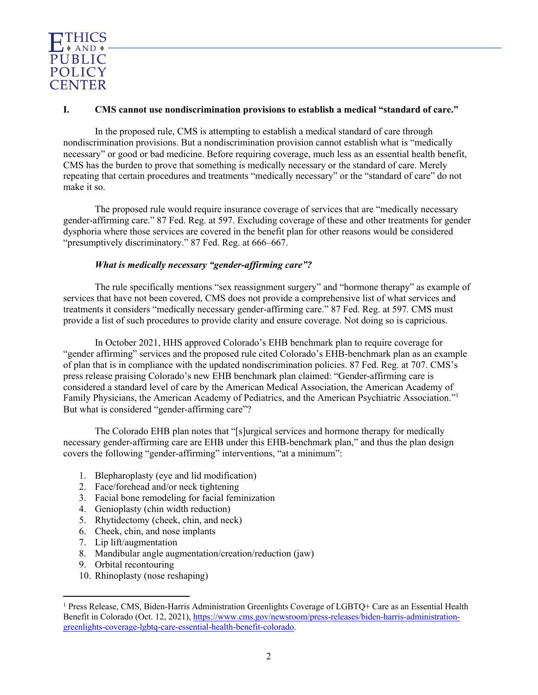

# **I. CMS cannot use nondiscrimination provisions to establish a medical "standard of care."**

In the proposed rule, CMS is attempting to establish a medical standard of care through nondiscrimination provisions. But a nondiscrimination provision cannot establish what is "medically necessary" or good or bad medicine. Before requiring coverage, much less as an essential health benefit, CMS has the burden to prove that something is medically necessary or the standard of care. Merely repeating that certain procedures and treatments "medically necessary" or the "standard of care" do not make it so.

The proposed rule would require insurance coverage of services that are "medically necessary gender-affirming care." 87 Fed. Reg. at 597. Excluding coverage of these and other treatments for gender dysphoria where those services are covered in the benefit plan for other reasons would be considered "presumptively discriminatory." 87 Fed. Reg. at 666–667.

# *What is medically necessary "gender-affirming care"?*

The rule specifically mentions "sex reassignment surgery" and "hormone therapy" as example of services that have not been covered, CMS does not provide a comprehensive list of what services and treatments it considers "medically necessary gender-affirming care." 87 Fed. Reg. at 597*.* CMS must provide a list of such procedures to provide clarity and ensure coverage. Not doing so is capricious.

In October 2021, HHS approved Colorado's EHB benchmark plan to require coverage for "gender affirming" services and the proposed rule cited Colorado's EHB-benchmark plan as an example of plan that is in compliance with the updated nondiscrimination policies. 87 Fed. Reg. at 707. CMS's press release praising Colorado's new EHB benchmark plan claimed: "Gender-affirming care is considered a standard level of care by the American Medical Association, the American Academy of Family Physicians, the American Academy of Pediatrics, and the American Psychiatric Association."1 But what is considered "gender-affirming care"?

The Colorado EHB plan notes that "[s]urgical services and hormone therapy for medically necessary gender-affirming care are EHB under this EHB-benchmark plan," and thus the plan design covers the following "gender-affirming" interventions, "at a minimum":

- 1. Blepharoplasty (eye and lid modification)
- 2. Face/forehead and/or neck tightening
- 3. Facial bone remodeling for facial feminization
- 4. Genioplasty (chin width reduction)
- 5. Rhytidectomy (cheek, chin, and neck)
- 6. Cheek, chin, and nose implants
- 7. Lip lift/augmentation
- 8. Mandibular angle augmentation/creation/reduction (jaw)
- 9. Orbital recontouring
- 10. Rhinoplasty (nose reshaping)

<sup>1</sup> Press Release, CMS, Biden-Harris Administration Greenlights Coverage of LGBTQ+ Care as an Essential Health Benefit in Colorado (Oct. 12, 2021), https://www.cms.gov/newsroom/press-releases/biden-harris-administrationgreenlights-coverage-lgbtq-care-essential-health-benefit-colorado.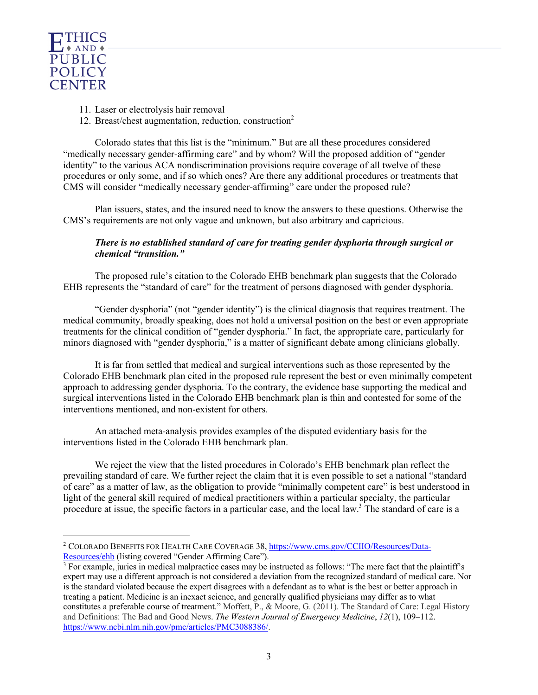

- 11. Laser or electrolysis hair removal
- 12. Breast/chest augmentation, reduction, construction<sup>2</sup>

Colorado states that this list is the "minimum." But are all these procedures considered "medically necessary gender-affirming care" and by whom? Will the proposed addition of "gender identity" to the various ACA nondiscrimination provisions require coverage of all twelve of these procedures or only some, and if so which ones? Are there any additional procedures or treatments that CMS will consider "medically necessary gender-affirming" care under the proposed rule?

Plan issuers, states, and the insured need to know the answers to these questions. Otherwise the CMS's requirements are not only vague and unknown, but also arbitrary and capricious.

# *There is no established standard of care for treating gender dysphoria through surgical or chemical "transition."*

The proposed rule's citation to the Colorado EHB benchmark plan suggests that the Colorado EHB represents the "standard of care" for the treatment of persons diagnosed with gender dysphoria.

"Gender dysphoria" (not "gender identity") is the clinical diagnosis that requires treatment. The medical community, broadly speaking, does not hold a universal position on the best or even appropriate treatments for the clinical condition of "gender dysphoria." In fact, the appropriate care, particularly for minors diagnosed with "gender dysphoria," is a matter of significant debate among clinicians globally.

It is far from settled that medical and surgical interventions such as those represented by the Colorado EHB benchmark plan cited in the proposed rule represent the best or even minimally competent approach to addressing gender dysphoria. To the contrary, the evidence base supporting the medical and surgical interventions listed in the Colorado EHB benchmark plan is thin and contested for some of the interventions mentioned, and non-existent for others.

An attached meta-analysis provides examples of the disputed evidentiary basis for the interventions listed in the Colorado EHB benchmark plan.

We reject the view that the listed procedures in Colorado's EHB benchmark plan reflect the prevailing standard of care. We further reject the claim that it is even possible to set a national "standard of care" as a matter of law, as the obligation to provide "minimally competent care" is best understood in light of the general skill required of medical practitioners within a particular specialty, the particular procedure at issue, the specific factors in a particular case, and the local law.3 The standard of care is a

<sup>2</sup> COLORADO BENEFITS FOR HEALTH CARE COVERAGE 38, https://www.cms.gov/CCIIO/Resources/Data-Resources/ehb (listing covered "Gender Affirming Care").

<sup>&</sup>lt;sup>3</sup> For example, juries in medical malpractice cases may be instructed as follows: "The mere fact that the plaintiff's expert may use a different approach is not considered a deviation from the recognized standard of medical care. Nor is the standard violated because the expert disagrees with a defendant as to what is the best or better approach in treating a patient. Medicine is an inexact science, and generally qualified physicians may differ as to what constitutes a preferable course of treatment." Moffett, P., & Moore, G. (2011). The Standard of Care: Legal History and Definitions: The Bad and Good News. *The Western Journal of Emergency Medicine*, *12*(1), 109–112. https://www.ncbi.nlm.nih.gov/pmc/articles/PMC3088386/.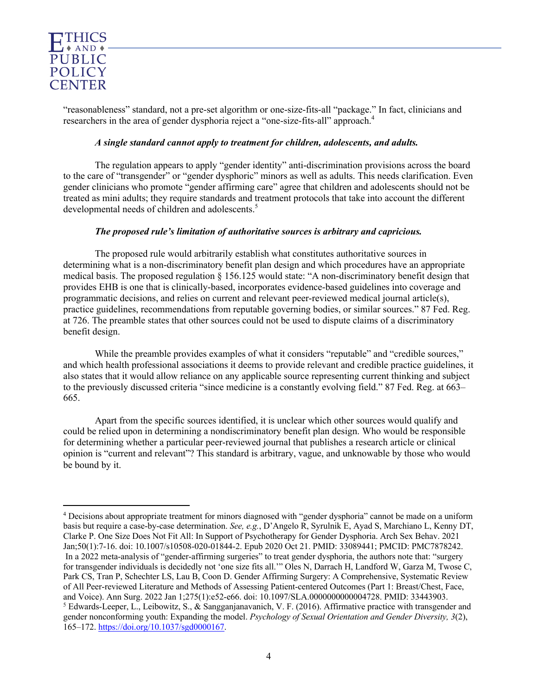

"reasonableness" standard, not a pre-set algorithm or one-size-fits-all "package." In fact, clinicians and researchers in the area of gender dysphoria reject a "one-size-fits-all" approach.<sup>4</sup>

# *A single standard cannot apply to treatment for children, adolescents, and adults.*

The regulation appears to apply "gender identity" anti-discrimination provisions across the board to the care of "transgender" or "gender dysphoric" minors as well as adults. This needs clarification. Even gender clinicians who promote "gender affirming care" agree that children and adolescents should not be treated as mini adults; they require standards and treatment protocols that take into account the different developmental needs of children and adolescents.<sup>5</sup>

# *The proposed rule's limitation of authoritative sources is arbitrary and capricious.*

The proposed rule would arbitrarily establish what constitutes authoritative sources in determining what is a non-discriminatory benefit plan design and which procedures have an appropriate medical basis. The proposed regulation § 156.125 would state: "A non-discriminatory benefit design that provides EHB is one that is clinically-based, incorporates evidence-based guidelines into coverage and programmatic decisions, and relies on current and relevant peer-reviewed medical journal article(s), practice guidelines, recommendations from reputable governing bodies, or similar sources." 87 Fed. Reg. at 726. The preamble states that other sources could not be used to dispute claims of a discriminatory benefit design.

While the preamble provides examples of what it considers "reputable" and "credible sources," and which health professional associations it deems to provide relevant and credible practice guidelines, it also states that it would allow reliance on any applicable source representing current thinking and subject to the previously discussed criteria "since medicine is a constantly evolving field." 87 Fed. Reg. at 663– 665.

Apart from the specific sources identified, it is unclear which other sources would qualify and could be relied upon in determining a nondiscriminatory benefit plan design. Who would be responsible for determining whether a particular peer-reviewed journal that publishes a research article or clinical opinion is "current and relevant"? This standard is arbitrary, vague, and unknowable by those who would be bound by it.

<sup>4</sup> Decisions about appropriate treatment for minors diagnosed with "gender dysphoria" cannot be made on a uniform basis but require a case-by-case determination. *See, e.g.*, D'Angelo R, Syrulnik E, Ayad S, Marchiano L, Kenny DT, Clarke P. One Size Does Not Fit All: In Support of Psychotherapy for Gender Dysphoria. Arch Sex Behav. 2021 Jan;50(1):7-16. doi: 10.1007/s10508-020-01844-2. Epub 2020 Oct 21. PMID: 33089441; PMCID: PMC7878242. In a 2022 meta-analysis of "gender-affirming surgeries" to treat gender dysphoria, the authors note that: "surgery for transgender individuals is decidedly not 'one size fits all.'" Oles N, Darrach H, Landford W, Garza M, Twose C, Park CS, Tran P, Schechter LS, Lau B, Coon D. Gender Affirming Surgery: A Comprehensive, Systematic Review of All Peer-reviewed Literature and Methods of Assessing Patient-centered Outcomes (Part 1: Breast/Chest, Face, and Voice). Ann Surg. 2022 Jan 1;275(1):e52-e66. doi: 10.1097/SLA.0000000000004728. PMID: 33443903. <sup>5</sup> Edwards-Leeper, L., Leibowitz, S., & Sangganjanavanich, V. F. (2016). Affirmative practice with transgender and gender nonconforming youth: Expanding the model. *Psychology of Sexual Orientation and Gender Diversity, 3*(2), 165–172. https://doi.org/10.1037/sgd0000167.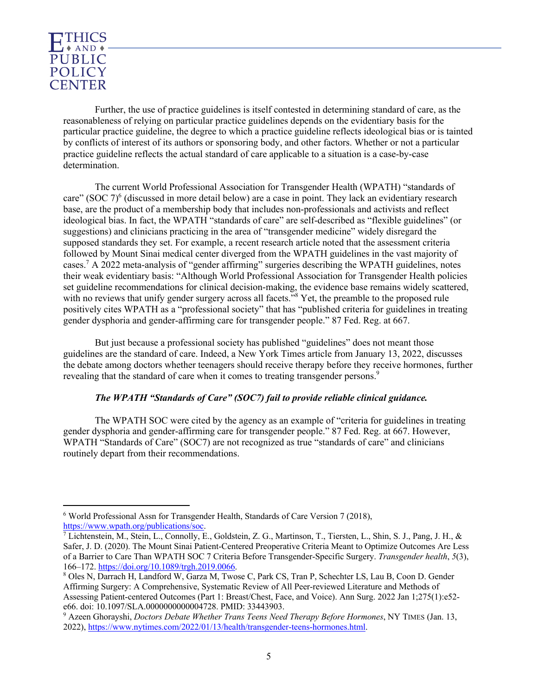

Further, the use of practice guidelines is itself contested in determining standard of care, as the reasonableness of relying on particular practice guidelines depends on the evidentiary basis for the particular practice guideline, the degree to which a practice guideline reflects ideological bias or is tainted by conflicts of interest of its authors or sponsoring body, and other factors. Whether or not a particular practice guideline reflects the actual standard of care applicable to a situation is a case-by-case determination.

The current World Professional Association for Transgender Health (WPATH) "standards of care" (SOC  $7^6$  (discussed in more detail below) are a case in point. They lack an evidentiary research base, are the product of a membership body that includes non-professionals and activists and reflect ideological bias. In fact, the WPATH "standards of care" are self-described as "flexible guidelines" (or suggestions) and clinicians practicing in the area of "transgender medicine" widely disregard the supposed standards they set. For example, a recent research article noted that the assessment criteria followed by Mount Sinai medical center diverged from the WPATH guidelines in the vast majority of cases.7 A 2022 meta-analysis of "gender affirming" surgeries describing the WPATH guidelines, notes their weak evidentiary basis: "Although World Professional Association for Transgender Health policies set guideline recommendations for clinical decision-making, the evidence base remains widely scattered, with no reviews that unify gender surgery across all facets."<sup>8</sup> Yet, the preamble to the proposed rule positively cites WPATH as a "professional society" that has "published criteria for guidelines in treating gender dysphoria and gender-affirming care for transgender people." 87 Fed. Reg. at 667.

But just because a professional society has published "guidelines" does not meant those guidelines are the standard of care. Indeed, a New York Times article from January 13, 2022, discusses the debate among doctors whether teenagers should receive therapy before they receive hormones, further revealing that the standard of care when it comes to treating transgender persons.<sup>9</sup>

# *The WPATH "Standards of Care" (SOC7) fail to provide reliable clinical guidance.*

The WPATH SOC were cited by the agency as an example of "criteria for guidelines in treating gender dysphoria and gender-affirming care for transgender people." 87 Fed. Reg. at 667. However, WPATH "Standards of Care" (SOC7) are not recognized as true "standards of care" and clinicians routinely depart from their recommendations.

<sup>6</sup> World Professional Assn for Transgender Health, Standards of Care Version 7 (2018), https://www.wpath.org/publications/soc.

<sup>&</sup>lt;sup>7</sup> Lichtenstein, M., Stein, L., Connolly, E., Goldstein, Z. G., Martinson, T., Tiersten, L., Shin, S. J., Pang, J. H., & Safer, J. D. (2020). The Mount Sinai Patient-Centered Preoperative Criteria Meant to Optimize Outcomes Are Less of a Barrier to Care Than WPATH SOC 7 Criteria Before Transgender-Specific Surgery. *Transgender health*, *5*(3), 166–172. https://doi.org/10.1089/trgh.2019.0066.

<sup>8</sup> Oles N, Darrach H, Landford W, Garza M, Twose C, Park CS, Tran P, Schechter LS, Lau B, Coon D. Gender Affirming Surgery: A Comprehensive, Systematic Review of All Peer-reviewed Literature and Methods of Assessing Patient-centered Outcomes (Part 1: Breast/Chest, Face, and Voice). Ann Surg. 2022 Jan 1;275(1):e52 e66. doi: 10.1097/SLA.0000000000004728. PMID: 33443903.

<sup>9</sup> Azeen Ghorayshi, *Doctors Debate Whether Trans Teens Need Therapy Before Hormones*, NY TIMES (Jan. 13, 2022), https://www.nytimes.com/2022/01/13/health/transgender-teens-hormones.html.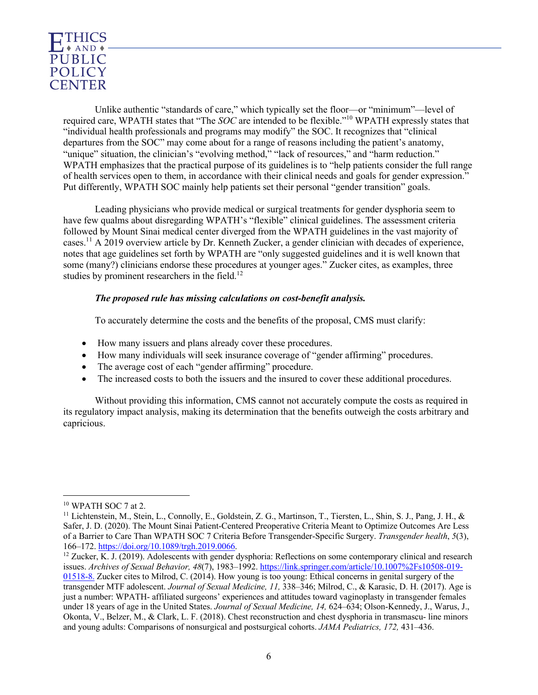

Unlike authentic "standards of care," which typically set the floor—or "minimum"—level of required care, WPATH states that "The *SOC* are intended to be flexible."<sup>10</sup> WPATH expressly states that "individual health professionals and programs may modify" the SOC. It recognizes that "clinical departures from the SOC" may come about for a range of reasons including the patient's anatomy, "unique" situation, the clinician's "evolving method," "lack of resources," and "harm reduction." WPATH emphasizes that the practical purpose of its guidelines is to "help patients consider the full range of health services open to them, in accordance with their clinical needs and goals for gender expression." Put differently, WPATH SOC mainly help patients set their personal "gender transition" goals.

Leading physicians who provide medical or surgical treatments for gender dysphoria seem to have few qualms about disregarding WPATH's "flexible" clinical guidelines. The assessment criteria followed by Mount Sinai medical center diverged from the WPATH guidelines in the vast majority of cases.11 A 2019 overview article by Dr. Kenneth Zucker, a gender clinician with decades of experience, notes that age guidelines set forth by WPATH are "only suggested guidelines and it is well known that some (many?) clinicians endorse these procedures at younger ages." Zucker cites, as examples, three studies by prominent researchers in the field.<sup>12</sup>

# *The proposed rule has missing calculations on cost-benefit analysis.*

To accurately determine the costs and the benefits of the proposal, CMS must clarify:

- How many issuers and plans already cover these procedures.
- How many individuals will seek insurance coverage of "gender affirming" procedures.
- The average cost of each "gender affirming" procedure.
- The increased costs to both the issuers and the insured to cover these additional procedures.

Without providing this information, CMS cannot not accurately compute the costs as required in its regulatory impact analysis, making its determination that the benefits outweigh the costs arbitrary and capricious.

<sup>10</sup> WPATH SOC 7 at 2.

<sup>11</sup> Lichtenstein, M., Stein, L., Connolly, E., Goldstein, Z. G., Martinson, T., Tiersten, L., Shin, S. J., Pang, J. H., & Safer, J. D. (2020). The Mount Sinai Patient-Centered Preoperative Criteria Meant to Optimize Outcomes Are Less of a Barrier to Care Than WPATH SOC 7 Criteria Before Transgender-Specific Surgery. *Transgender health*, *5*(3), 166–172. https://doi.org/10.1089/trgh.2019.0066.

 $12$  Zucker, K. J. (2019). Adolescents with gender dysphoria: Reflections on some contemporary clinical and research issues. *Archives of Sexual Behavior, 48*(7), 1983–1992. https://link.springer.com/article/10.1007%2Fs10508-019- 01518-8. Zucker cites to Milrod, C. (2014). How young is too young: Ethical concerns in genital surgery of the transgender MTF adolescent. *Journal of Sexual Medicine, 11,* 338–346; Milrod, C., & Karasic, D. H. (2017). Age is just a number: WPATH- affiliated surgeons' experiences and attitudes toward vaginoplasty in transgender females under 18 years of age in the United States. *Journal of Sexual Medicine, 14,* 624–634; Olson-Kennedy, J., Warus, J., Okonta, V., Belzer, M., & Clark, L. F. (2018). Chest reconstruction and chest dysphoria in transmascu- line minors and young adults: Comparisons of nonsurgical and postsurgical cohorts. *JAMA Pediatrics, 172,* 431–436.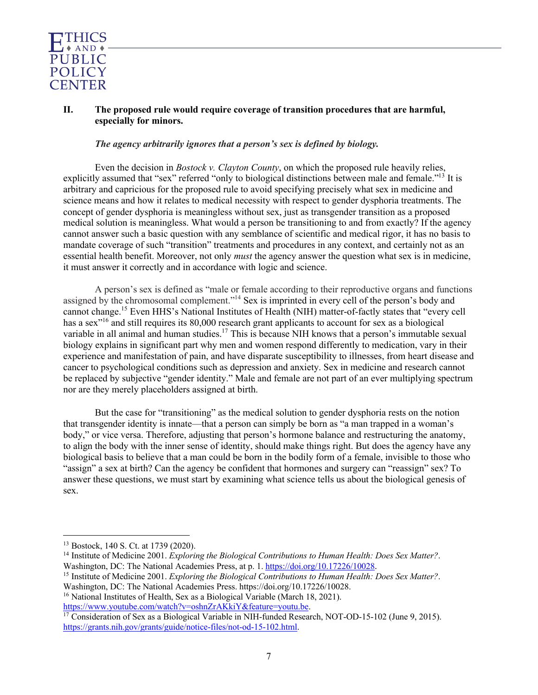

# **II. The proposed rule would require coverage of transition procedures that are harmful, especially for minors.**

*The agency arbitrarily ignores that a person's sex is defined by biology.*

Even the decision in *Bostock v. Clayton County*, on which the proposed rule heavily relies, explicitly assumed that "sex" referred "only to biological distinctions between male and female."<sup>13</sup> It is arbitrary and capricious for the proposed rule to avoid specifying precisely what sex in medicine and science means and how it relates to medical necessity with respect to gender dysphoria treatments. The concept of gender dysphoria is meaningless without sex, just as transgender transition as a proposed medical solution is meaningless. What would a person be transitioning to and from exactly? If the agency cannot answer such a basic question with any semblance of scientific and medical rigor, it has no basis to mandate coverage of such "transition" treatments and procedures in any context, and certainly not as an essential health benefit. Moreover, not only *must* the agency answer the question what sex is in medicine, it must answer it correctly and in accordance with logic and science.

A person's sex is defined as "male or female according to their reproductive organs and functions assigned by the chromosomal complement."<sup>14</sup> Sex is imprinted in every cell of the person's body and cannot change.<sup>15</sup> Even HHS's National Institutes of Health (NIH) matter-of-factly states that "every cell has a sex<sup>"16</sup> and still requires its 80,000 research grant applicants to account for sex as a biological variable in all animal and human studies.<sup>17</sup> This is because NIH knows that a person's immutable sexual biology explains in significant part why men and women respond differently to medication, vary in their experience and manifestation of pain, and have disparate susceptibility to illnesses, from heart disease and cancer to psychological conditions such as depression and anxiety. Sex in medicine and research cannot be replaced by subjective "gender identity." Male and female are not part of an ever multiplying spectrum nor are they merely placeholders assigned at birth.

But the case for "transitioning" as the medical solution to gender dysphoria rests on the notion that transgender identity is innate—that a person can simply be born as "a man trapped in a woman's body," or vice versa. Therefore, adjusting that person's hormone balance and restructuring the anatomy, to align the body with the inner sense of identity, should make things right. But does the agency have any biological basis to believe that a man could be born in the bodily form of a female, invisible to those who "assign" a sex at birth? Can the agency be confident that hormones and surgery can "reassign" sex? To answer these questions, we must start by examining what science tells us about the biological genesis of sex.

<sup>13</sup> Bostock, 140 S. Ct. at 1739 (2020).

<sup>14</sup> Institute of Medicine 2001. *Exploring the Biological Contributions to Human Health: Does Sex Matter?*. Washington, DC: The National Academies Press, at p. 1. https://doi.org/10.17226/10028.

<sup>15</sup> Institute of Medicine 2001. *Exploring the Biological Contributions to Human Health: Does Sex Matter?*. Washington, DC: The National Academies Press. https://doi.org/10.17226/10028.

<sup>&</sup>lt;sup>16</sup> National Institutes of Health, Sex as a Biological Variable (March 18, 2021). https://www.youtube.com/watch?v=oshnZrAKkiY&feature=youtu.be.

<sup>&</sup>lt;sup>17</sup> Consideration of Sex as a Biological Variable in NIH-funded Research, NOT-OD-15-102 (June 9, 2015). https://grants.nih.gov/grants/guide/notice-files/not-od-15-102.html.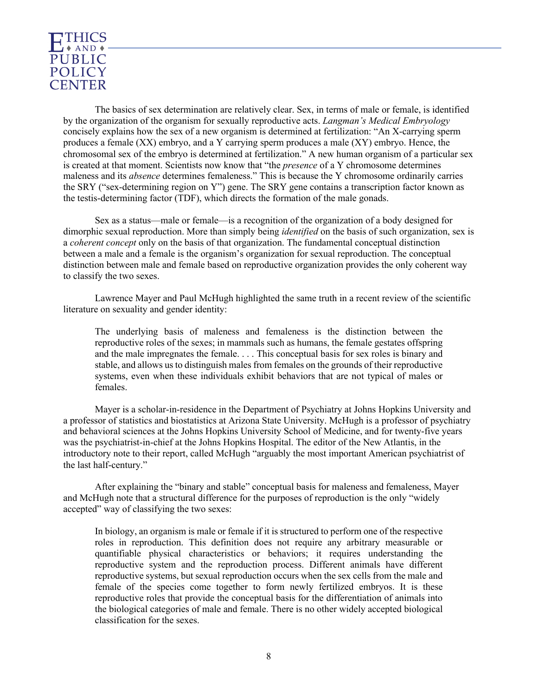

The basics of sex determination are relatively clear. Sex, in terms of male or female, is identified by the organization of the organism for sexually reproductive acts. *Langman's Medical Embryology* concisely explains how the sex of a new organism is determined at fertilization: "An X-carrying sperm produces a female (XX) embryo, and a Y carrying sperm produces a male (XY) embryo. Hence, the chromosomal sex of the embryo is determined at fertilization." A new human organism of a particular sex is created at that moment. Scientists now know that "the *presence* of a Y chromosome determines maleness and its *absence* determines femaleness." This is because the Y chromosome ordinarily carries the SRY ("sex-determining region on Y") gene. The SRY gene contains a transcription factor known as the testis-determining factor (TDF), which directs the formation of the male gonads.

Sex as a status—male or female—is a recognition of the organization of a body designed for dimorphic sexual reproduction. More than simply being *identified* on the basis of such organization, sex is a *coherent concept* only on the basis of that organization. The fundamental conceptual distinction between a male and a female is the organism's organization for sexual reproduction. The conceptual distinction between male and female based on reproductive organization provides the only coherent way to classify the two sexes.

Lawrence Mayer and Paul McHugh highlighted the same truth in a recent review of the scientific literature on sexuality and gender identity:

The underlying basis of maleness and femaleness is the distinction between the reproductive roles of the sexes; in mammals such as humans, the female gestates offspring and the male impregnates the female. . . . This conceptual basis for sex roles is binary and stable, and allows us to distinguish males from females on the grounds of their reproductive systems, even when these individuals exhibit behaviors that are not typical of males or females.

Mayer is a scholar-in-residence in the Department of Psychiatry at Johns Hopkins University and a professor of statistics and biostatistics at Arizona State University. McHugh is a professor of psychiatry and behavioral sciences at the Johns Hopkins University School of Medicine, and for twenty-five years was the psychiatrist-in-chief at the Johns Hopkins Hospital. The editor of the New Atlantis, in the introductory note to their report, called McHugh "arguably the most important American psychiatrist of the last half-century."

After explaining the "binary and stable" conceptual basis for maleness and femaleness, Mayer and McHugh note that a structural difference for the purposes of reproduction is the only "widely accepted" way of classifying the two sexes:

In biology, an organism is male or female if it is structured to perform one of the respective roles in reproduction. This definition does not require any arbitrary measurable or quantifiable physical characteristics or behaviors; it requires understanding the reproductive system and the reproduction process. Different animals have different reproductive systems, but sexual reproduction occurs when the sex cells from the male and female of the species come together to form newly fertilized embryos. It is these reproductive roles that provide the conceptual basis for the differentiation of animals into the biological categories of male and female. There is no other widely accepted biological classification for the sexes.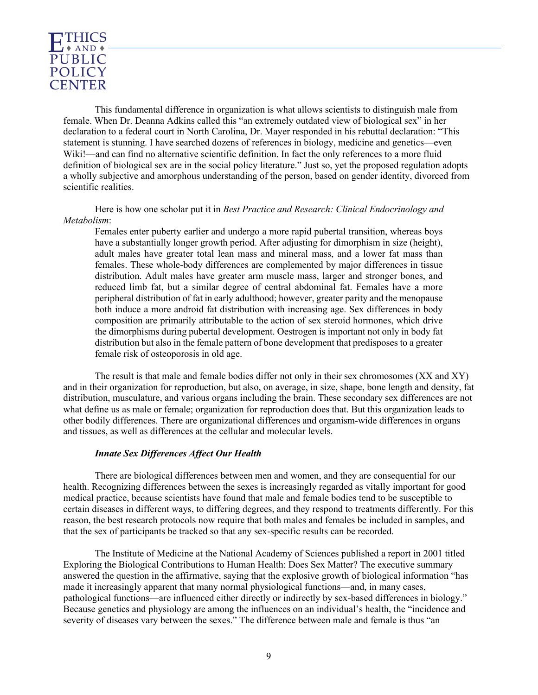

This fundamental difference in organization is what allows scientists to distinguish male from female. When Dr. Deanna Adkins called this "an extremely outdated view of biological sex" in her declaration to a federal court in North Carolina, Dr. Mayer responded in his rebuttal declaration: "This statement is stunning. I have searched dozens of references in biology, medicine and genetics—even Wiki!—and can find no alternative scientific definition. In fact the only references to a more fluid definition of biological sex are in the social policy literature." Just so, yet the proposed regulation adopts a wholly subjective and amorphous understanding of the person, based on gender identity, divorced from scientific realities.

Here is how one scholar put it in *Best Practice and Research: Clinical Endocrinology and Metabolism*:

Females enter puberty earlier and undergo a more rapid pubertal transition, whereas boys have a substantially longer growth period. After adjusting for dimorphism in size (height), adult males have greater total lean mass and mineral mass, and a lower fat mass than females. These whole-body differences are complemented by major differences in tissue distribution. Adult males have greater arm muscle mass, larger and stronger bones, and reduced limb fat, but a similar degree of central abdominal fat. Females have a more peripheral distribution of fat in early adulthood; however, greater parity and the menopause both induce a more android fat distribution with increasing age. Sex differences in body composition are primarily attributable to the action of sex steroid hormones, which drive the dimorphisms during pubertal development. Oestrogen is important not only in body fat distribution but also in the female pattern of bone development that predisposes to a greater female risk of osteoporosis in old age.

The result is that male and female bodies differ not only in their sex chromosomes (XX and XY) and in their organization for reproduction, but also, on average, in size, shape, bone length and density, fat distribution, musculature, and various organs including the brain. These secondary sex differences are not what define us as male or female; organization for reproduction does that. But this organization leads to other bodily differences. There are organizational differences and organism-wide differences in organs and tissues, as well as differences at the cellular and molecular levels.

#### *Innate Sex Differences Affect Our Health*

There are biological differences between men and women, and they are consequential for our health. Recognizing differences between the sexes is increasingly regarded as vitally important for good medical practice, because scientists have found that male and female bodies tend to be susceptible to certain diseases in different ways, to differing degrees, and they respond to treatments differently. For this reason, the best research protocols now require that both males and females be included in samples, and that the sex of participants be tracked so that any sex-specific results can be recorded.

The Institute of Medicine at the National Academy of Sciences published a report in 2001 titled Exploring the Biological Contributions to Human Health: Does Sex Matter? The executive summary answered the question in the affirmative, saying that the explosive growth of biological information "has made it increasingly apparent that many normal physiological functions—and, in many cases, pathological functions—are influenced either directly or indirectly by sex-based differences in biology." Because genetics and physiology are among the influences on an individual's health, the "incidence and severity of diseases vary between the sexes." The difference between male and female is thus "an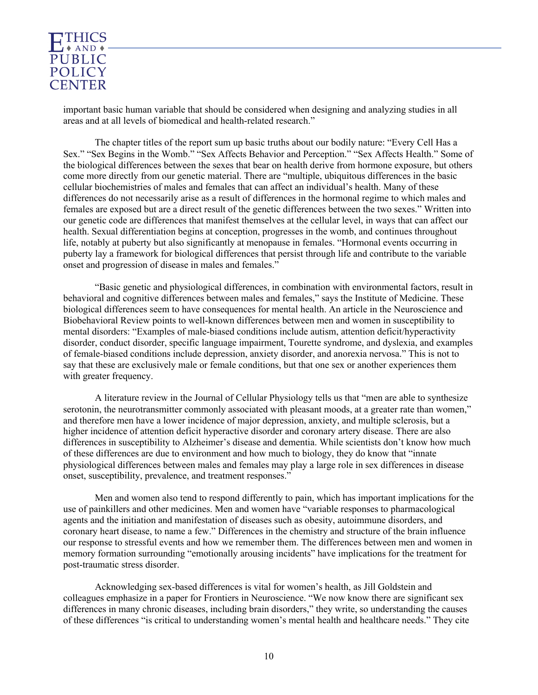

important basic human variable that should be considered when designing and analyzing studies in all areas and at all levels of biomedical and health-related research."

The chapter titles of the report sum up basic truths about our bodily nature: "Every Cell Has a Sex." "Sex Begins in the Womb." "Sex Affects Behavior and Perception." "Sex Affects Health." Some of the biological differences between the sexes that bear on health derive from hormone exposure, but others come more directly from our genetic material. There are "multiple, ubiquitous differences in the basic cellular biochemistries of males and females that can affect an individual's health. Many of these differences do not necessarily arise as a result of differences in the hormonal regime to which males and females are exposed but are a direct result of the genetic differences between the two sexes." Written into our genetic code are differences that manifest themselves at the cellular level, in ways that can affect our health. Sexual differentiation begins at conception, progresses in the womb, and continues throughout life, notably at puberty but also significantly at menopause in females. "Hormonal events occurring in puberty lay a framework for biological differences that persist through life and contribute to the variable onset and progression of disease in males and females."

"Basic genetic and physiological differences, in combination with environmental factors, result in behavioral and cognitive differences between males and females," says the Institute of Medicine. These biological differences seem to have consequences for mental health. An article in the Neuroscience and Biobehavioral Review points to well-known differences between men and women in susceptibility to mental disorders: "Examples of male-biased conditions include autism, attention deficit/hyperactivity disorder, conduct disorder, specific language impairment, Tourette syndrome, and dyslexia, and examples of female-biased conditions include depression, anxiety disorder, and anorexia nervosa." This is not to say that these are exclusively male or female conditions, but that one sex or another experiences them with greater frequency.

A literature review in the Journal of Cellular Physiology tells us that "men are able to synthesize serotonin, the neurotransmitter commonly associated with pleasant moods, at a greater rate than women," and therefore men have a lower incidence of major depression, anxiety, and multiple sclerosis, but a higher incidence of attention deficit hyperactive disorder and coronary artery disease. There are also differences in susceptibility to Alzheimer's disease and dementia. While scientists don't know how much of these differences are due to environment and how much to biology, they do know that "innate physiological differences between males and females may play a large role in sex differences in disease onset, susceptibility, prevalence, and treatment responses."

Men and women also tend to respond differently to pain, which has important implications for the use of painkillers and other medicines. Men and women have "variable responses to pharmacological agents and the initiation and manifestation of diseases such as obesity, autoimmune disorders, and coronary heart disease, to name a few." Differences in the chemistry and structure of the brain influence our response to stressful events and how we remember them. The differences between men and women in memory formation surrounding "emotionally arousing incidents" have implications for the treatment for post-traumatic stress disorder.

Acknowledging sex-based differences is vital for women's health, as Jill Goldstein and colleagues emphasize in a paper for Frontiers in Neuroscience. "We now know there are significant sex differences in many chronic diseases, including brain disorders," they write, so understanding the causes of these differences "is critical to understanding women's mental health and healthcare needs." They cite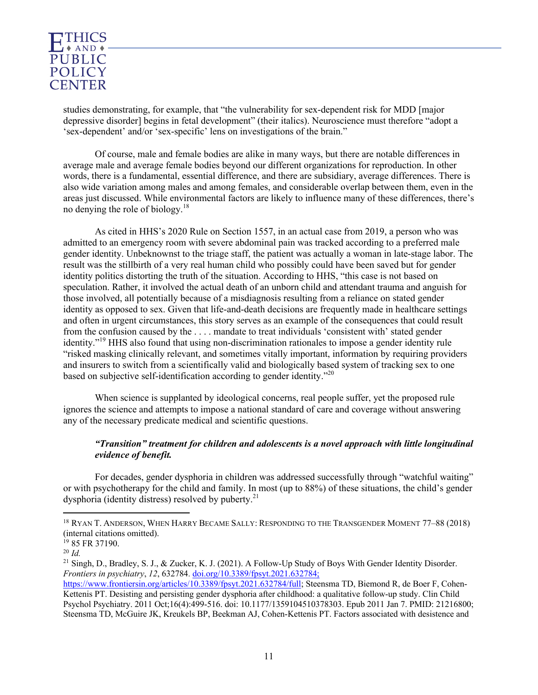

studies demonstrating, for example, that "the vulnerability for sex-dependent risk for MDD [major depressive disorder] begins in fetal development" (their italics). Neuroscience must therefore "adopt a 'sex-dependent' and/or 'sex-specific' lens on investigations of the brain."

Of course, male and female bodies are alike in many ways, but there are notable differences in average male and average female bodies beyond our different organizations for reproduction. In other words, there is a fundamental, essential difference, and there are subsidiary, average differences. There is also wide variation among males and among females, and considerable overlap between them, even in the areas just discussed. While environmental factors are likely to influence many of these differences, there's no denying the role of biology.<sup>18</sup>

As cited in HHS's 2020 Rule on Section 1557, in an actual case from 2019, a person who was admitted to an emergency room with severe abdominal pain was tracked according to a preferred male gender identity. Unbeknownst to the triage staff, the patient was actually a woman in late-stage labor. The result was the stillbirth of a very real human child who possibly could have been saved but for gender identity politics distorting the truth of the situation. According to HHS, "this case is not based on speculation. Rather, it involved the actual death of an unborn child and attendant trauma and anguish for those involved, all potentially because of a misdiagnosis resulting from a reliance on stated gender identity as opposed to sex. Given that life-and-death decisions are frequently made in healthcare settings and often in urgent circumstances, this story serves as an example of the consequences that could result from the confusion caused by the . . . . mandate to treat individuals 'consistent with' stated gender identity."<sup>19</sup> HHS also found that using non-discrimination rationales to impose a gender identity rule "risked masking clinically relevant, and sometimes vitally important, information by requiring providers and insurers to switch from a scientifically valid and biologically based system of tracking sex to one based on subjective self-identification according to gender identity."<sup>20</sup>

When science is supplanted by ideological concerns, real people suffer, yet the proposed rule ignores the science and attempts to impose a national standard of care and coverage without answering any of the necessary predicate medical and scientific questions.

# *"Transition" treatment for children and adolescents is a novel approach with little longitudinal evidence of benefit.*

For decades, gender dysphoria in children was addressed successfully through "watchful waiting" or with psychotherapy for the child and family. In most (up to 88%) of these situations, the child's gender dysphoria (identity distress) resolved by puberty. $21$ 

<sup>&</sup>lt;sup>18</sup> RYAN T. ANDERSON, WHEN HARRY BECAME SALLY: RESPONDING TO THE TRANSGENDER MOMENT 77-88 (2018) (internal citations omitted).

<sup>19</sup> 85 FR 37190.

<sup>20</sup> *Id.*

<sup>&</sup>lt;sup>21</sup> Singh, D., Bradley, S. J., & Zucker, K. J. (2021). A Follow-Up Study of Boys With Gender Identity Disorder. *Frontiers in psychiatry*, *12*, 632784. doi.org/10.3389/fpsyt.2021.632784;

https://www.frontiersin.org/articles/10.3389/fpsyt.2021.632784/full; Steensma TD, Biemond R, de Boer F, Cohen-Kettenis PT. Desisting and persisting gender dysphoria after childhood: a qualitative follow-up study. Clin Child Psychol Psychiatry. 2011 Oct;16(4):499-516. doi: 10.1177/1359104510378303. Epub 2011 Jan 7. PMID: 21216800; Steensma TD, McGuire JK, Kreukels BP, Beekman AJ, Cohen-Kettenis PT. Factors associated with desistence and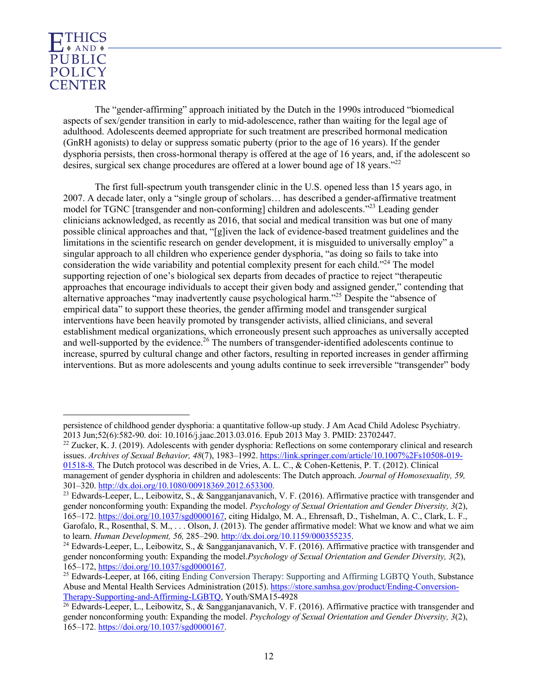

The "gender-affirming" approach initiated by the Dutch in the 1990s introduced "biomedical aspects of sex/gender transition in early to mid-adolescence, rather than waiting for the legal age of adulthood. Adolescents deemed appropriate for such treatment are prescribed hormonal medication (GnRH agonists) to delay or suppress somatic puberty (prior to the age of 16 years). If the gender dysphoria persists, then cross-hormonal therapy is offered at the age of 16 years, and, if the adolescent so desires, surgical sex change procedures are offered at a lower bound age of 18 years.<sup>22</sup>

The first full-spectrum youth transgender clinic in the U.S. opened less than 15 years ago, in 2007. A decade later, only a "single group of scholars… has described a gender-affirmative treatment model for TGNC [transgender and non-conforming] children and adolescents."23 Leading gender clinicians acknowledged, as recently as 2016, that social and medical transition was but one of many possible clinical approaches and that, "[g]iven the lack of evidence-based treatment guidelines and the limitations in the scientific research on gender development, it is misguided to universally employ" a singular approach to all children who experience gender dysphoria, "as doing so fails to take into consideration the wide variability and potential complexity present for each child."<sup>24</sup> The model supporting rejection of one's biological sex departs from decades of practice to reject "therapeutic approaches that encourage individuals to accept their given body and assigned gender," contending that alternative approaches "may inadvertently cause psychological harm."25 Despite the "absence of empirical data" to support these theories, the gender affirming model and transgender surgical interventions have been heavily promoted by transgender activists, allied clinicians, and several establishment medical organizations, which erroneously present such approaches as universally accepted and well-supported by the evidence.<sup>26</sup> The numbers of transgender-identified adolescents continue to increase, spurred by cultural change and other factors, resulting in reported increases in gender affirming interventions. But as more adolescents and young adults continue to seek irreversible "transgender" body

to learn. *Human Development, 56,* 285–290. http://dx.doi.org/10.1159/000355235.

persistence of childhood gender dysphoria: a quantitative follow-up study. J Am Acad Child Adolesc Psychiatry. 2013 Jun;52(6):582-90. doi: 10.1016/j.jaac.2013.03.016. Epub 2013 May 3. PMID: 23702447.

<sup>&</sup>lt;sup>22</sup> Zucker, K. J. (2019). Adolescents with gender dysphoria: Reflections on some contemporary clinical and research issues. *Archives of Sexual Behavior, 48*(7), 1983–1992. https://link.springer.com/article/10.1007%2Fs10508-019- 01518-8. The Dutch protocol was described in de Vries, A. L. C., & Cohen-Kettenis, P. T. (2012). Clinical management of gender dysphoria in children and adolescents: The Dutch approach. *Journal of Homosexuality, 59,*  301–320. http://dx.doi.org/10.1080/00918369.2012.653300.

<sup>&</sup>lt;sup>23</sup> Edwards-Leeper, L., Leibowitz, S., & Sangganjanavanich, V. F. (2016). Affirmative practice with transgender and gender nonconforming youth: Expanding the model. *Psychology of Sexual Orientation and Gender Diversity, 3*(2), 165–172. https://doi.org/10.1037/sgd0000167, citing Hidalgo, M. A., Ehrensaft, D., Tishelman, A. C., Clark, L. F., Garofalo, R., Rosenthal, S. M., . . . Olson, J. (2013). The gender affirmative model: What we know and what we aim

<sup>&</sup>lt;sup>24</sup> Edwards-Leeper, L., Leibowitz, S., & Sangganjanavanich, V. F. (2016). Affirmative practice with transgender and gender nonconforming youth: Expanding the model.*Psychology of Sexual Orientation and Gender Diversity, 3*(2), 165–172, https://doi.org/10.1037/sgd0000167.

<sup>&</sup>lt;sup>25</sup> Edwards-Leeper, at 166, citing Ending Conversion Therapy: Supporting and Affirming LGBTO Youth, Substance Abuse and Mental Health Services Administration (2015). https://store.samhsa.gov/product/Ending-Conversion-Therapy-Supporting-and-Affirming-LGBTQ, Youth/SMA15-4928

<sup>&</sup>lt;sup>26</sup> Edwards-Leeper, L., Leibowitz, S., & Sangganjanavanich, V. F. (2016). Affirmative practice with transgender and gender nonconforming youth: Expanding the model. *Psychology of Sexual Orientation and Gender Diversity, 3*(2), 165–172. https://doi.org/10.1037/sgd0000167.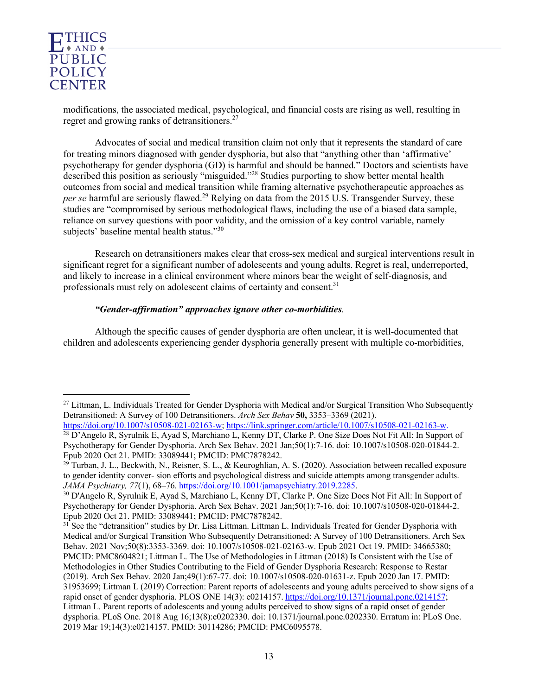

modifications, the associated medical, psychological, and financial costs are rising as well, resulting in regret and growing ranks of detransitioners.<sup>27</sup>

Advocates of social and medical transition claim not only that it represents the standard of care for treating minors diagnosed with gender dysphoria, but also that "anything other than 'affirmative' psychotherapy for gender dysphoria (GD) is harmful and should be banned." Doctors and scientists have described this position as seriously "misguided."<sup>28</sup> Studies purporting to show better mental health outcomes from social and medical transition while framing alternative psychotherapeutic approaches as *per se* harmful are seriously flawed.<sup>29</sup> Relying on data from the 2015 U.S. Transgender Survey, these studies are "compromised by serious methodological flaws, including the use of a biased data sample, reliance on survey questions with poor validity, and the omission of a key control variable, namely subjects' baseline mental health status."<sup>30</sup>

Research on detransitioners makes clear that cross-sex medical and surgical interventions result in significant regret for a significant number of adolescents and young adults. Regret is real, underreported, and likely to increase in a clinical environment where minors bear the weight of self-diagnosis, and professionals must rely on adolescent claims of certainty and consent.<sup>31</sup>

# *"Gender-affirmation" approaches ignore other co-morbidities.*

Although the specific causes of gender dysphoria are often unclear, it is well-documented that children and adolescents experiencing gender dysphoria generally present with multiple co-morbidities,

<sup>&</sup>lt;sup>27</sup> Littman, L. Individuals Treated for Gender Dysphoria with Medical and/or Surgical Transition Who Subsequently Detransitioned: A Survey of 100 Detransitioners. *Arch Sex Behav* **50,** 3353–3369 (2021). https://doi.org/10.1007/s10508-021-02163-w; https://link.springer.com/article/10.1007/s10508-021-02163-w.

<sup>&</sup>lt;sup>28</sup> D'Angelo R, Syrulnik E, Ayad S, Marchiano L, Kenny DT, Clarke P. One Size Does Not Fit All: In Support of Psychotherapy for Gender Dysphoria. Arch Sex Behav. 2021 Jan;50(1):7-16. doi: 10.1007/s10508-020-01844-2. Epub 2020 Oct 21. PMID: 33089441; PMCID: PMC7878242.

 $29$  Turban, J. L., Beckwith, N., Reisner, S. L., & Keuroghlian, A. S. (2020). Association between recalled exposure to gender identity conver- sion efforts and psychological distress and suicide attempts among transgender adults. *JAMA Psychiatry, 77*(1), 68–76. https://doi.org/10.1001/jamapsychiatry.2019.2285.

<sup>30</sup> D'Angelo R, Syrulnik E, Ayad S, Marchiano L, Kenny DT, Clarke P. One Size Does Not Fit All: In Support of Psychotherapy for Gender Dysphoria. Arch Sex Behav. 2021 Jan;50(1):7-16. doi: 10.1007/s10508-020-01844-2. Epub 2020 Oct 21. PMID: 33089441; PMCID: PMC7878242.

<sup>&</sup>lt;sup>31</sup> See the "detransition" studies by Dr. Lisa Littman. Littman L. Individuals Treated for Gender Dysphoria with Medical and/or Surgical Transition Who Subsequently Detransitioned: A Survey of 100 Detransitioners. Arch Sex Behav. 2021 Nov;50(8):3353-3369. doi: 10.1007/s10508-021-02163-w. Epub 2021 Oct 19. PMID: 34665380; PMCID: PMC8604821; Littman L. The Use of Methodologies in Littman (2018) Is Consistent with the Use of Methodologies in Other Studies Contributing to the Field of Gender Dysphoria Research: Response to Restar (2019). Arch Sex Behav. 2020 Jan;49(1):67-77. doi: 10.1007/s10508-020-01631-z. Epub 2020 Jan 17. PMID: 31953699; Littman L (2019) Correction: Parent reports of adolescents and young adults perceived to show signs of a rapid onset of gender dysphoria. PLOS ONE 14(3): e0214157. https://doi.org/10.1371/journal.pone.0214157; Littman L. Parent reports of adolescents and young adults perceived to show signs of a rapid onset of gender dysphoria. PLoS One. 2018 Aug 16;13(8):e0202330. doi: 10.1371/journal.pone.0202330. Erratum in: PLoS One. 2019 Mar 19;14(3):e0214157. PMID: 30114286; PMCID: PMC6095578.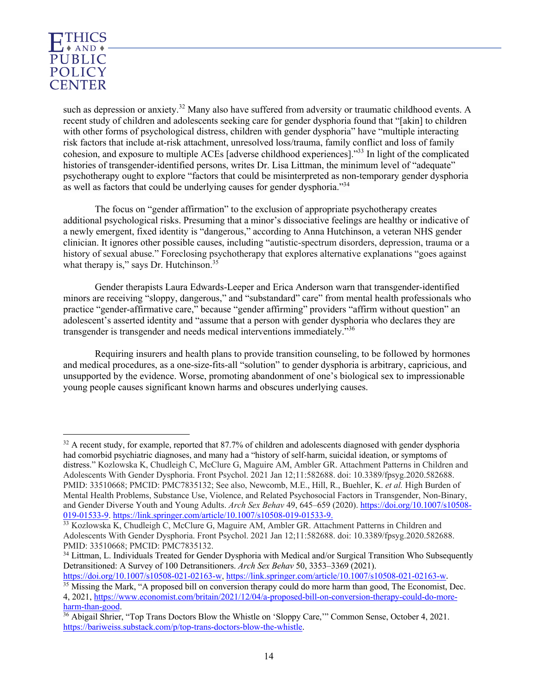

such as depression or anxiety.<sup>32</sup> Many also have suffered from adversity or traumatic childhood events. A recent study of children and adolescents seeking care for gender dysphoria found that "[akin] to children with other forms of psychological distress, children with gender dysphoria" have "multiple interacting risk factors that include at-risk attachment, unresolved loss/trauma, family conflict and loss of family cohesion, and exposure to multiple ACEs [adverse childhood experiences]."33 In light of the complicated histories of transgender-identified persons, writes Dr. Lisa Littman, the minimum level of "adequate" psychotherapy ought to explore "factors that could be misinterpreted as non-temporary gender dysphoria as well as factors that could be underlying causes for gender dysphoria."<sup>34</sup>

The focus on "gender affirmation" to the exclusion of appropriate psychotherapy creates additional psychological risks. Presuming that a minor's dissociative feelings are healthy or indicative of a newly emergent, fixed identity is "dangerous," according to Anna Hutchinson, a veteran NHS gender clinician. It ignores other possible causes, including "autistic-spectrum disorders, depression, trauma or a history of sexual abuse." Foreclosing psychotherapy that explores alternative explanations "goes against what therapy is," says Dr. Hutchinson.<sup>35</sup>

Gender therapists Laura Edwards-Leeper and Erica Anderson warn that transgender-identified minors are receiving "sloppy, dangerous," and "substandard" care" from mental health professionals who practice "gender-affirmative care," because "gender affirming" providers "affirm without question" an adolescent's asserted identity and "assume that a person with gender dysphoria who declares they are transgender is transgender and needs medical interventions immediately.<sup>356</sup>

Requiring insurers and health plans to provide transition counseling, to be followed by hormones and medical procedures, as a one-size-fits-all "solution" to gender dysphoria is arbitrary, capricious, and unsupported by the evidence. Worse, promoting abandonment of one's biological sex to impressionable young people causes significant known harms and obscures underlying causes.

https://doi.org/10.1007/s10508-021-02163-w, https://link.springer.com/article/10.1007/s10508-021-02163-w. <sup>35</sup> Missing the Mark, "A proposed bill on conversion therapy could do more harm than good, The Economist, Dec.

 $32$  A recent study, for example, reported that 87.7% of children and adolescents diagnosed with gender dysphoria had comorbid psychiatric diagnoses, and many had a "history of self-harm, suicidal ideation, or symptoms of distress." Kozlowska K, Chudleigh C, McClure G, Maguire AM, Ambler GR. Attachment Patterns in Children and Adolescents With Gender Dysphoria. Front Psychol. 2021 Jan 12;11:582688. doi: 10.3389/fpsyg.2020.582688. PMID: 33510668; PMCID: PMC7835132; See also, Newcomb, M.E., Hill, R., Buehler, K. *et al.* High Burden of Mental Health Problems, Substance Use, Violence, and Related Psychosocial Factors in Transgender, Non-Binary, and Gender Diverse Youth and Young Adults. *Arch Sex Behav* 49, 645–659 (2020). https://doi.org/10.1007/s10508- 019-01533-9. https://link.springer.com/article/10.1007/s10508-019-01533-9.

<sup>33</sup> Kozlowska K, Chudleigh C, McClure G, Maguire AM, Ambler GR. Attachment Patterns in Children and Adolescents With Gender Dysphoria. Front Psychol. 2021 Jan 12;11:582688. doi: 10.3389/fpsyg.2020.582688. PMID: 33510668; PMCID: PMC7835132.

<sup>&</sup>lt;sup>34</sup> Littman, L. Individuals Treated for Gender Dysphoria with Medical and/or Surgical Transition Who Subsequently Detransitioned: A Survey of 100 Detransitioners. *Arch Sex Behav* 50, 3353–3369 (2021).

<sup>4,</sup> 2021, https://www.economist.com/britain/2021/12/04/a-proposed-bill-on-conversion-therapy-could-do-moreharm-than-good.

<sup>&</sup>lt;sup>36</sup> Abigail Shrier, "Top Trans Doctors Blow the Whistle on 'Sloppy Care," Common Sense, October 4, 2021. https://bariweiss.substack.com/p/top-trans-doctors-blow-the-whistle.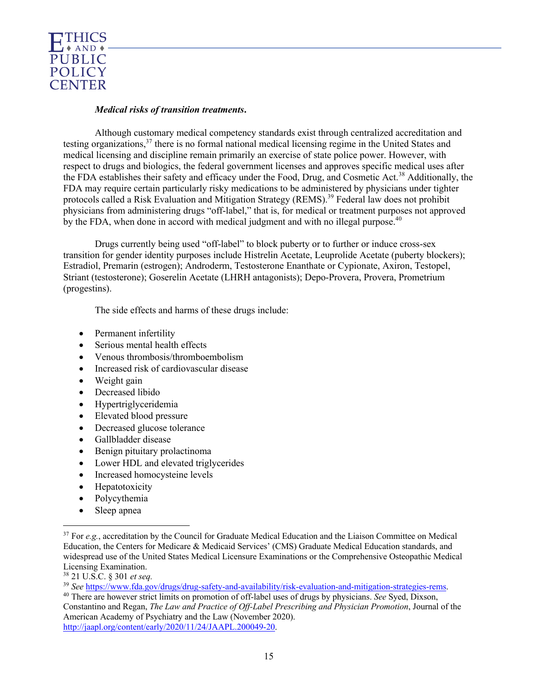

# *Medical risks of transition treatments***.**

Although customary medical competency standards exist through centralized accreditation and testing organizations,<sup>37</sup> there is no formal national medical licensing regime in the United States and medical licensing and discipline remain primarily an exercise of state police power. However, with respect to drugs and biologics, the federal government licenses and approves specific medical uses after the FDA establishes their safety and efficacy under the Food, Drug, and Cosmetic Act.<sup>38</sup> Additionally, the FDA may require certain particularly risky medications to be administered by physicians under tighter protocols called a Risk Evaluation and Mitigation Strategy (REMS).39 Federal law does not prohibit physicians from administering drugs "off-label," that is, for medical or treatment purposes not approved by the FDA, when done in accord with medical judgment and with no illegal purpose.<sup>40</sup>

Drugs currently being used "off-label" to block puberty or to further or induce cross-sex transition for gender identity purposes include Histrelin Acetate, Leuprolide Acetate (puberty blockers); Estradiol, Premarin (estrogen); Androderm, Testosterone Enanthate or Cypionate, Axiron, Testopel, Striant (testosterone); Goserelin Acetate (LHRH antagonists); Depo-Provera, Provera, Prometrium (progestins).

The side effects and harms of these drugs include:

- Permanent infertility
- Serious mental health effects
- Venous thrombosis/thromboembolism
- Increased risk of cardiovascular disease
- Weight gain
- Decreased libido
- Hypertriglyceridemia
- Elevated blood pressure
- Decreased glucose tolerance
- Gallbladder disease
- Benign pituitary prolactinoma
- Lower HDL and elevated triglycerides
- Increased homocysteine levels
- Hepatotoxicity
- Polycythemia
- Sleep apnea

<sup>38</sup> 21 U.S.C. § 301 *et seq.*

<sup>40</sup> There are however strict limits on promotion of off-label uses of drugs by physicians. *See* Syed, Dixson, Constantino and Regan, *The Law and Practice of Off-Label Prescribing and Physician Promotion*, Journal of the American Academy of Psychiatry and the Law (November 2020). http://jaapl.org/content/early/2020/11/24/JAAPL.200049-20.

<sup>&</sup>lt;sup>37</sup> For *e.g.*, accreditation by the Council for Graduate Medical Education and the Liaison Committee on Medical Education, the Centers for Medicare & Medicaid Services' (CMS) Graduate Medical Education standards, and widespread use of the United States Medical Licensure Examinations or the Comprehensive Osteopathic Medical Licensing Examination.

<sup>39</sup> *See* https://www.fda.gov/drugs/drug-safety-and-availability/risk-evaluation-and-mitigation-strategies-rems.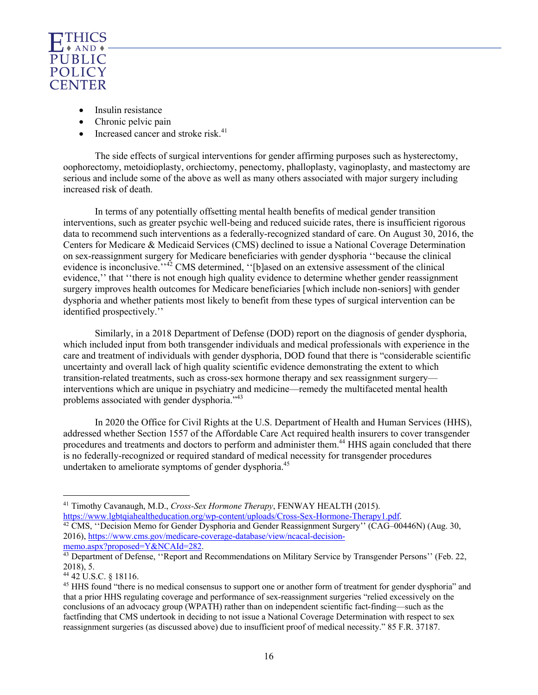

- Insulin resistance
- Chronic pelvic pain
- Increased cancer and stroke risk. $41$

The side effects of surgical interventions for gender affirming purposes such as hysterectomy, oophorectomy, metoidioplasty, orchiectomy, penectomy, phalloplasty, vaginoplasty, and mastectomy are serious and include some of the above as well as many others associated with major surgery including increased risk of death.

In terms of any potentially offsetting mental health benefits of medical gender transition interventions, such as greater psychic well-being and reduced suicide rates, there is insufficient rigorous data to recommend such interventions as a federally-recognized standard of care. On August 30, 2016, the Centers for Medicare & Medicaid Services (CMS) declined to issue a National Coverage Determination on sex-reassignment surgery for Medicare beneficiaries with gender dysphoria ''because the clinical evidence is inconclusive.<sup>''42</sup> CMS determined, ''[b]ased on an extensive assessment of the clinical evidence,'' that ''there is not enough high quality evidence to determine whether gender reassignment surgery improves health outcomes for Medicare beneficiaries [which include non-seniors] with gender dysphoria and whether patients most likely to benefit from these types of surgical intervention can be identified prospectively.''

Similarly, in a 2018 Department of Defense (DOD) report on the diagnosis of gender dysphoria, which included input from both transgender individuals and medical professionals with experience in the care and treatment of individuals with gender dysphoria, DOD found that there is "considerable scientific uncertainty and overall lack of high quality scientific evidence demonstrating the extent to which transition-related treatments, such as cross-sex hormone therapy and sex reassignment surgery interventions which are unique in psychiatry and medicine—remedy the multifaceted mental health problems associated with gender dysphoria."<sup>43</sup>

In 2020 the Office for Civil Rights at the U.S. Department of Health and Human Services (HHS), addressed whether Section 1557 of the Affordable Care Act required health insurers to cover transgender procedures and treatments and doctors to perform and administer them.<sup>44</sup> HHS again concluded that there is no federally-recognized or required standard of medical necessity for transgender procedures undertaken to ameliorate symptoms of gender dysphoria.<sup>45</sup>

<sup>41</sup> Timothy Cavanaugh, M.D., *Cross-Sex Hormone Therapy*, FENWAY HEALTH (2015). https://www.lgbtqiahealtheducation.org/wp-content/uploads/Cross-Sex-Hormone-Therapy1.pdf.

<sup>&</sup>lt;sup>42</sup> CMS, "Decision Memo for Gender Dysphoria and Gender Reassignment Surgery" (CAG–00446N) (Aug. 30, 2016), https://www.cms.gov/medicare-coverage-database/view/ncacal-decisionmemo.aspx?proposed=Y&NCAId=282.

<sup>&</sup>lt;sup>43</sup> Department of Defense, "Report and Recommendations on Military Service by Transgender Persons" (Feb. 22, 2018), 5.

<sup>44</sup> 42 U.S.C. § 18116.

<sup>&</sup>lt;sup>45</sup> HHS found "there is no medical consensus to support one or another form of treatment for gender dysphoria" and that a prior HHS regulating coverage and performance of sex-reassignment surgeries "relied excessively on the conclusions of an advocacy group (WPATH) rather than on independent scientific fact-finding—such as the factfinding that CMS undertook in deciding to not issue a National Coverage Determination with respect to sex reassignment surgeries (as discussed above) due to insufficient proof of medical necessity." 85 F.R. 37187.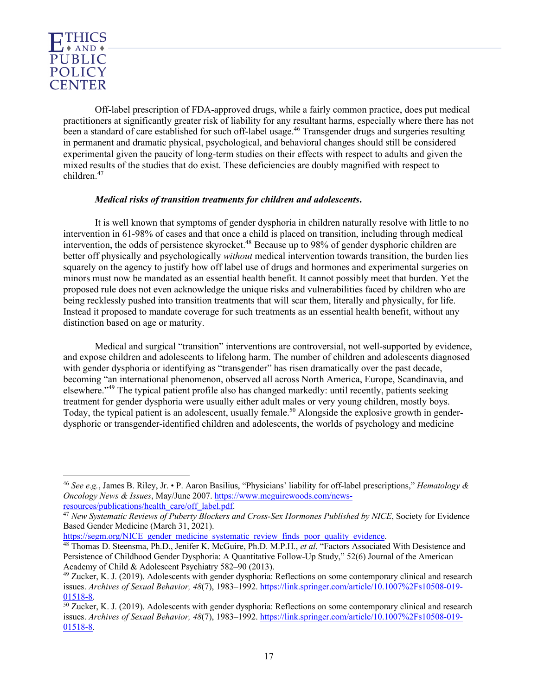

Off-label prescription of FDA-approved drugs, while a fairly common practice, does put medical practitioners at significantly greater risk of liability for any resultant harms, especially where there has not been a standard of care established for such off-label usage.<sup>46</sup> Transgender drugs and surgeries resulting in permanent and dramatic physical, psychological, and behavioral changes should still be considered experimental given the paucity of long-term studies on their effects with respect to adults and given the mixed results of the studies that do exist. These deficiencies are doubly magnified with respect to children.<sup>47</sup>

# *Medical risks of transition treatments for children and adolescents***.**

It is well known that symptoms of gender dysphoria in children naturally resolve with little to no intervention in 61-98% of cases and that once a child is placed on transition, including through medical intervention, the odds of persistence skyrocket.<sup>48</sup> Because up to 98% of gender dysphoric children are better off physically and psychologically *without* medical intervention towards transition, the burden lies squarely on the agency to justify how off label use of drugs and hormones and experimental surgeries on minors must now be mandated as an essential health benefit. It cannot possibly meet that burden. Yet the proposed rule does not even acknowledge the unique risks and vulnerabilities faced by children who are being recklessly pushed into transition treatments that will scar them, literally and physically, for life. Instead it proposed to mandate coverage for such treatments as an essential health benefit, without any distinction based on age or maturity.

Medical and surgical "transition" interventions are controversial, not well-supported by evidence, and expose children and adolescents to lifelong harm. The number of children and adolescents diagnosed with gender dysphoria or identifying as "transgender" has risen dramatically over the past decade, becoming "an international phenomenon, observed all across North America, Europe, Scandinavia, and elsewhere."49 The typical patient profile also has changed markedly: until recently, patients seeking treatment for gender dysphoria were usually either adult males or very young children, mostly boys. Today, the typical patient is an adolescent, usually female.<sup>50</sup> Alongside the explosive growth in genderdysphoric or transgender-identified children and adolescents, the worlds of psychology and medicine

https://segm.org/NICE\_gender\_medicine\_systematic\_review\_finds\_poor\_quality\_evidence.

<sup>46</sup> *See e.g.*, James B. Riley, Jr. • P. Aaron Basilius, "Physicians' liability for off-label prescriptions," *Hematology & Oncology News & Issues*, May/June 2007. https://www.mcguirewoods.com/news-

resources/publications/health\_care/off\_label.pdf.

<sup>&</sup>lt;sup>47</sup> *New Systematic Reviews of Puberty Blockers and Cross-Sex Hormones Published by NICE*, Society for Evidence Based Gender Medicine (March 31, 2021).

<sup>48</sup> Thomas D. Steensma, Ph.D., Jenifer K. McGuire, Ph.D. M.P.H., *et al*. "Factors Associated With Desistence and Persistence of Childhood Gender Dysphoria: A Quantitative Follow-Up Study," 52(6) Journal of the American Academy of Child & Adolescent Psychiatry 582–90 (2013).

 $^{49}$  Zucker, K. J. (2019). Adolescents with gender dysphoria: Reflections on some contemporary clinical and research issues. *Archives of Sexual Behavior, 48*(7), 1983–1992. https://link.springer.com/article/10.1007%2Fs10508-019- 01518-8.

 $\frac{50}{10}$  Zucker, K. J. (2019). Adolescents with gender dysphoria: Reflections on some contemporary clinical and research issues. *Archives of Sexual Behavior, 48*(7), 1983–1992. https://link.springer.com/article/10.1007%2Fs10508-019- 01518-8.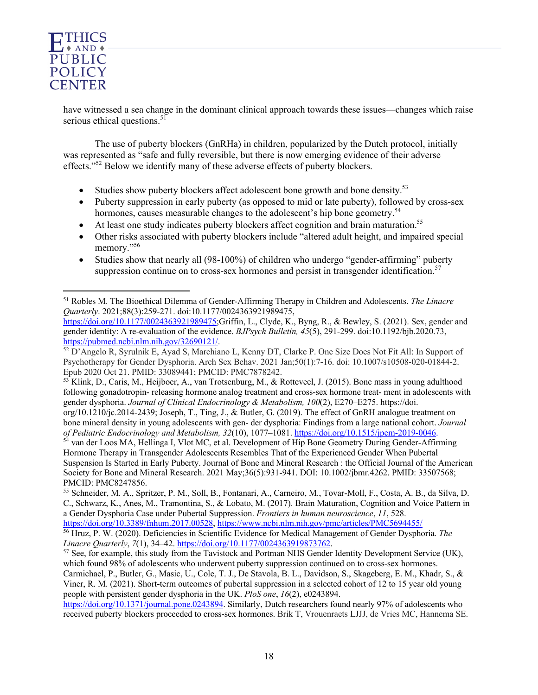

have witnessed a sea change in the dominant clinical approach towards these issues—changes which raise serious ethical questions. $51$ 

The use of puberty blockers (GnRHa) in children, popularized by the Dutch protocol, initially was represented as "safe and fully reversible, but there is now emerging evidence of their adverse effects.<sup>"52</sup> Below we identify many of these adverse effects of puberty blockers.

- Studies show puberty blockers affect adolescent bone growth and bone density.<sup>53</sup>
- Puberty suppression in early puberty (as opposed to mid or late puberty), followed by cross-sex hormones, causes measurable changes to the adolescent's hip bone geometry.<sup>54</sup>
- At least one study indicates puberty blockers affect cognition and brain maturation.<sup>55</sup>
- Other risks associated with puberty blockers include "altered adult height, and impaired special memory."<sup>56</sup>
- Studies show that nearly all (98-100%) of children who undergo "gender-affirming" puberty suppression continue on to cross-sex hormones and persist in transgender identification.<sup>57</sup>

<sup>53</sup> Klink, D., Caris, M., Heijboer, A., van Trotsenburg, M., & Rotteveel, J. (2015). Bone mass in young adulthood following gonadotropin- releasing hormone analog treatment and cross-sex hormone treat- ment in adolescents with gender dysphoria. *Journal of Clinical Endocrinology & Metabolism, 100*(2), E270–E275. https://doi.

<sup>54</sup> van der Loos MA, Hellinga I, Vlot MC, et al. Development of Hip Bone Geometry During Gender-Affirming Hormone Therapy in Transgender Adolescents Resembles That of the Experienced Gender When Pubertal Suspension Is Started in Early Puberty. Journal of Bone and Mineral Research : the Official Journal of the American Society for Bone and Mineral Research. 2021 May;36(5):931-941. DOI: 10.1002/jbmr.4262. PMID: 33507568; PMCID: PMC8247856.

<sup>55</sup> Schneider, M. A., Spritzer, P. M., Soll, B., Fontanari, A., Carneiro, M., Tovar-Moll, F., Costa, A. B., da Silva, D. C., Schwarz, K., Anes, M., Tramontina, S., & Lobato, M. (2017). Brain Maturation, Cognition and Voice Pattern in a Gender Dysphoria Case under Pubertal Suppression. *Frontiers in human neuroscience*, *11*, 528.

https://doi.org/10.3389/fnhum.2017.00528, https://www.ncbi.nlm.nih.gov/pmc/articles/PMC5694455/

<sup>56</sup> Hruz, P. W. (2020). Deficiencies in Scientific Evidence for Medical Management of Gender Dysphoria. *The Linacre Quarterly*, *7*(1), 34–42. https://doi.org/10.1177/0024363919873762.

https://doi.org/10.1371/journal.pone.0243894. Similarly, Dutch researchers found nearly 97% of adolescents who received puberty blockers proceeded to cross-sex hormones. Brik T, Vrouenraets LJJJ, de Vries MC, Hannema SE.

<sup>51</sup> Robles M. The Bioethical Dilemma of Gender-Affirming Therapy in Children and Adolescents. *The Linacre Quarterly*. 2021;88(3):259-271. doi:10.1177/0024363921989475,

https://doi.org/10.1177/0024363921989475;Griffin, L., Clyde, K., Byng, R., & Bewley, S. (2021). Sex, gender and gender identity: A re-evaluation of the evidence. *BJPsych Bulletin, 45*(5), 291-299. doi:10.1192/bjb.2020.73, https://pubmed.ncbi.nlm.nih.gov/32690121/.

<sup>52</sup> D'Angelo R, Syrulnik E, Ayad S, Marchiano L, Kenny DT, Clarke P. One Size Does Not Fit All: In Support of Psychotherapy for Gender Dysphoria. Arch Sex Behav. 2021 Jan;50(1):7-16. doi: 10.1007/s10508-020-01844-2. Epub 2020 Oct 21. PMID: 33089441; PMCID: PMC7878242.

org/10.1210/jc.2014-2439; Joseph, T., Ting, J., & Butler, G. (2019). The effect of GnRH analogue treatment on bone mineral density in young adolescents with gen- der dysphoria: Findings from a large national cohort. *Journal of Pediatric Endocrinology and Metabolism, 32*(10), 1077–1081. https://doi.org/10.1515/jpem-2019-0046.

 $57$  See, for example, this study from the Tavistock and Portman NHS Gender Identity Development Service (UK), which found 98% of adolescents who underwent puberty suppression continued on to cross-sex hormones.

Carmichael, P., Butler, G., Masic, U., Cole, T. J., De Stavola, B. L., Davidson, S., Skageberg, E. M., Khadr, S., & Viner, R. M. (2021). Short-term outcomes of pubertal suppression in a selected cohort of 12 to 15 year old young people with persistent gender dysphoria in the UK. *PloS one*, *16*(2), e0243894.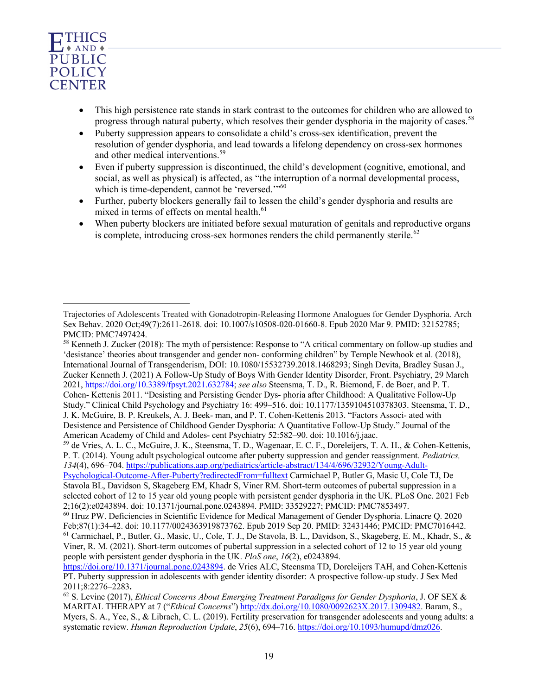

- This high persistence rate stands in stark contrast to the outcomes for children who are allowed to progress through natural puberty, which resolves their gender dysphoria in the majority of cases.<sup>58</sup>
- Puberty suppression appears to consolidate a child's cross-sex identification, prevent the resolution of gender dysphoria, and lead towards a lifelong dependency on cross-sex hormones and other medical interventions.<sup>59</sup>
- Even if puberty suppression is discontinued, the child's development (cognitive, emotional, and social, as well as physical) is affected, as "the interruption of a normal developmental process, which is time-dependent, cannot be 'reversed."<sup>60</sup>
- Further, puberty blockers generally fail to lessen the child's gender dysphoria and results are mixed in terms of effects on mental health.<sup>61</sup>
- When puberty blockers are initiated before sexual maturation of genitals and reproductive organs is complete, introducing cross-sex hormones renders the child permanently sterile.<sup>62</sup>

<sup>58</sup> Kenneth J. Zucker (2018): The myth of persistence: Response to "A critical commentary on follow-up studies and 'desistance' theories about transgender and gender non- conforming children" by Temple Newhook et al. (2018), International Journal of Transgenderism, DOI: 10.1080/15532739.2018.1468293; Singh Devita, Bradley Susan J., Zucker Kenneth J. (2021) A Follow-Up Study of Boys With Gender Identity Disorder, Front. Psychiatry, 29 March 2021, https://doi.org/10.3389/fpsyt.2021.632784; *see also* Steensma, T. D., R. Biemond, F. de Boer, and P. T. Cohen- Kettenis 2011. "Desisting and Persisting Gender Dys- phoria after Childhood: A Qualitative Follow-Up Study." Clinical Child Psychology and Psychiatry 16: 499–516. doi: 10.1177/1359104510378303. Steensma, T. D., J. K. McGuire, B. P. Kreukels, A. J. Beek- man, and P. T. Cohen-Kettenis 2013. "Factors Associ- ated with Desistence and Persistence of Childhood Gender Dysphoria: A Quantitative Follow-Up Study." Journal of the American Academy of Child and Adoles- cent Psychiatry 52:582–90. doi: 10.1016/j.jaac.

<sup>59</sup> de Vries, A. L. C., McGuire, J. K., Steensma, T. D., Wagenaar, E. C. F., Doreleijers, T. A. H., & Cohen-Kettenis, P. T. (2014). Young adult psychological outcome after puberty suppression and gender reassignment. *Pediatrics, 134*(4), 696–704. https://publications.aap.org/pediatrics/article-abstract/134/4/696/32932/Young-Adult-

Trajectories of Adolescents Treated with Gonadotropin-Releasing Hormone Analogues for Gender Dysphoria. Arch Sex Behav. 2020 Oct;49(7):2611-2618. doi: 10.1007/s10508-020-01660-8. Epub 2020 Mar 9. PMID: 32152785; PMCID: PMC7497424.

Psychological-Outcome-After-Puberty?redirectedFrom=fulltext Carmichael P, Butler G, Masic U, Cole TJ, De Stavola BL, Davidson S, Skageberg EM, Khadr S, Viner RM. Short-term outcomes of pubertal suppression in a selected cohort of 12 to 15 year old young people with persistent gender dysphoria in the UK. PLoS One. 2021 Feb 2;16(2):e0243894. doi: 10.1371/journal.pone.0243894. PMID: 33529227; PMCID: PMC7853497.

<sup>60</sup> Hruz PW. Deficiencies in Scientific Evidence for Medical Management of Gender Dysphoria. Linacre Q. 2020 Feb;87(1):34-42. doi: 10.1177/0024363919873762. Epub 2019 Sep 20. PMID: 32431446; PMCID: PMC7016442.

<sup>61</sup> Carmichael, P., Butler, G., Masic, U., Cole, T. J., De Stavola, B. L., Davidson, S., Skageberg, E. M., Khadr, S., & Viner, R. M. (2021). Short-term outcomes of pubertal suppression in a selected cohort of 12 to 15 year old young people with persistent gender dysphoria in the UK. *PloS one*, *16*(2), e0243894.

https://doi.org/10.1371/journal.pone.0243894. de Vries ALC, Steensma TD, Doreleijers TAH, and Cohen-Kettenis PT. Puberty suppression in adolescents with gender identity disorder: A prospective follow‐up study. J Sex Med 2011;8:2276–2283**.**

<sup>62</sup> S. Levine (2017), *Ethical Concerns About Emerging Treatment Paradigms for Gender Dysphoria*, J. OF SEX & MARITAL THERAPY at 7 ("*Ethical Concerns*") http://dx.doi.org/10.1080/0092623X.2017.1309482. Baram, S., Myers, S. A., Yee, S., & Librach, C. L. (2019). Fertility preservation for transgender adolescents and young adults: a systematic review. *Human Reproduction Update*, *25*(6), 694–716. https://doi.org/10.1093/humupd/dmz026.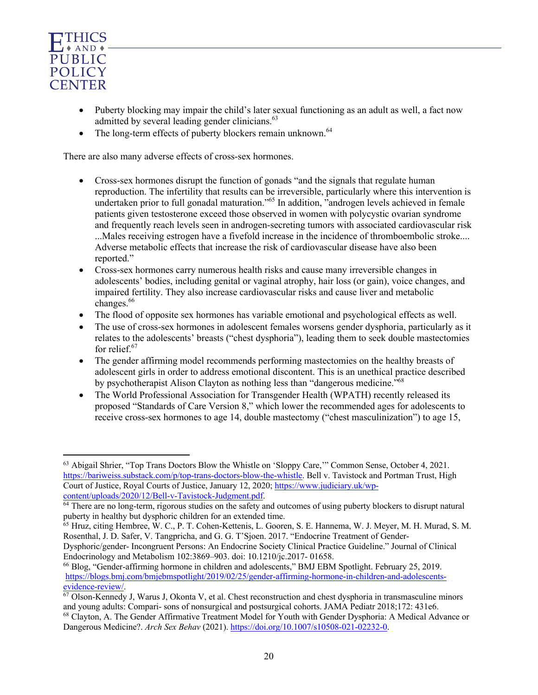

- Puberty blocking may impair the child's later sexual functioning as an adult as well, a fact now admitted by several leading gender clinicians.<sup>63</sup>
- The long-term effects of puberty blockers remain unknown.<sup>64</sup>

There are also many adverse effects of cross-sex hormones.

- Cross-sex hormones disrupt the function of gonads "and the signals that regulate human reproduction. The infertility that results can be irreversible, particularly where this intervention is undertaken prior to full gonadal maturation."<sup>65</sup> In addition, "androgen levels achieved in female patients given testosterone exceed those observed in women with polycystic ovarian syndrome and frequently reach levels seen in androgen-secreting tumors with associated cardiovascular risk ...Males receiving estrogen have a fivefold increase in the incidence of thromboembolic stroke.... Adverse metabolic effects that increase the risk of cardiovascular disease have also been reported."
- Cross-sex hormones carry numerous health risks and cause many irreversible changes in adolescents' bodies, including genital or vaginal atrophy, hair loss (or gain), voice changes, and impaired fertility. They also increase cardiovascular risks and cause liver and metabolic changes.<sup>66</sup>
- The flood of opposite sex hormones has variable emotional and psychological effects as well.
- The use of cross-sex hormones in adolescent females worsens gender dysphoria, particularly as it relates to the adolescents' breasts ("chest dysphoria"), leading them to seek double mastectomies for relief.<sup>67</sup>
- The gender affirming model recommends performing mastectomies on the healthy breasts of adolescent girls in order to address emotional discontent. This is an unethical practice described by psychotherapist Alison Clayton as nothing less than "dangerous medicine."68
- The World Professional Association for Transgender Health (WPATH) recently released its proposed "Standards of Care Version 8," which lower the recommended ages for adolescents to receive cross-sex hormones to age 14, double mastectomy ("chest masculinization") to age 15,

<sup>63</sup> Abigail Shrier, "Top Trans Doctors Blow the Whistle on 'Sloppy Care,'" Common Sense, October 4, 2021. https://bariweiss.substack.com/p/top-trans-doctors-blow-the-whistle. Bell v. Tavistock and Portman Trust, High Court of Justice, Royal Courts of Justice, January 12, 2020; https://www.judiciary.uk/wpcontent/uploads/2020/12/Bell-v-Tavistock-Judgment.pdf.

<sup>&</sup>lt;sup>64</sup> There are no long-term, rigorous studies on the safety and outcomes of using puberty blockers to disrupt natural puberty in healthy but dysphoric children for an extended time.

<sup>65</sup> Hruz, citing Hembree, W. C., P. T. Cohen-Kettenis, L. Gooren, S. E. Hannema, W. J. Meyer, M. H. Murad, S. M. Rosenthal, J. D. Safer, V. Tangpricha, and G. G. T'Sjoen. 2017. "Endocrine Treatment of Gender-

Dysphoric/gender- Incongruent Persons: An Endocrine Society Clinical Practice Guideline." Journal of Clinical Endocrinology and Metabolism 102:3869–903. doi: 10.1210/jc.2017- 01658.

<sup>66</sup> Blog, "Gender-affirming hormone in children and adolescents," BMJ EBM Spotlight. February 25, 2019. https://blogs.bmj.com/bmjebmspotlight/2019/02/25/gender-affirming-hormone-in-children-and-adolescentsevidence-review/.

 $67$  Olson-Kennedy J, Warus J, Okonta V, et al. Chest reconstruction and chest dysphoria in transmasculine minors and young adults: Compari- sons of nonsurgical and postsurgical cohorts. JAMA Pediatr 2018;172: 431e6. <sup>68</sup> Clayton, A. The Gender Affirmative Treatment Model for Youth with Gender Dysphoria: A Medical Advance or Dangerous Medicine?. *Arch Sex Behav* (2021). https://doi.org/10.1007/s10508-021-02232-0.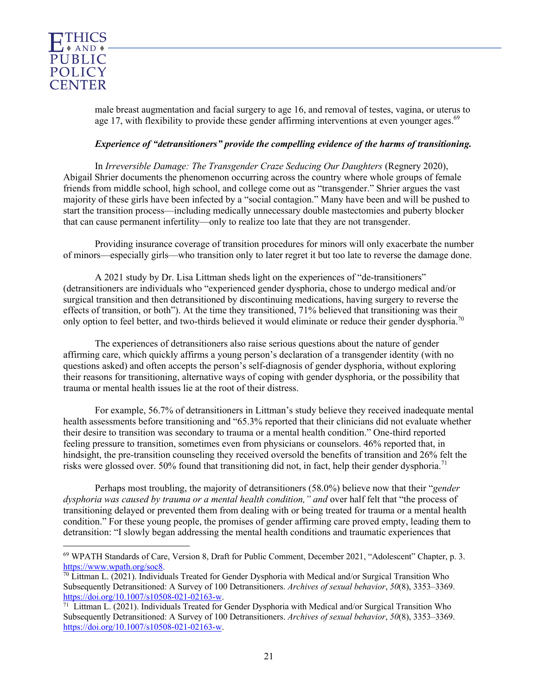

male breast augmentation and facial surgery to age 16, and removal of testes, vagina, or uterus to age 17, with flexibility to provide these gender affirming interventions at even younger ages.<sup> $69$ </sup>

# *Experience of "detransitioners" provide the compelling evidence of the harms of transitioning.*

In *Irreversible Damage: The Transgender Craze Seducing Our Daughters* (Regnery 2020), Abigail Shrier documents the phenomenon occurring across the country where whole groups of female friends from middle school, high school, and college come out as "transgender." Shrier argues the vast majority of these girls have been infected by a "social contagion." Many have been and will be pushed to start the transition process—including medically unnecessary double mastectomies and puberty blocker that can cause permanent infertility—only to realize too late that they are not transgender.

Providing insurance coverage of transition procedures for minors will only exacerbate the number of minors—especially girls—who transition only to later regret it but too late to reverse the damage done.

A 2021 study by Dr. Lisa Littman sheds light on the experiences of "de-transitioners" (detransitioners are individuals who "experienced gender dysphoria, chose to undergo medical and/or surgical transition and then detransitioned by discontinuing medications, having surgery to reverse the effects of transition, or both"). At the time they transitioned, 71% believed that transitioning was their only option to feel better, and two-thirds believed it would eliminate or reduce their gender dysphoria.<sup>70</sup>

The experiences of detransitioners also raise serious questions about the nature of gender affirming care, which quickly affirms a young person's declaration of a transgender identity (with no questions asked) and often accepts the person's self-diagnosis of gender dysphoria, without exploring their reasons for transitioning, alternative ways of coping with gender dysphoria, or the possibility that trauma or mental health issues lie at the root of their distress.

For example, 56.7% of detransitioners in Littman's study believe they received inadequate mental health assessments before transitioning and "65.3% reported that their clinicians did not evaluate whether their desire to transition was secondary to trauma or a mental health condition." One-third reported feeling pressure to transition, sometimes even from physicians or counselors. 46% reported that, in hindsight, the pre-transition counseling they received oversold the benefits of transition and 26% felt the risks were glossed over. 50% found that transitioning did not, in fact, help their gender dysphoria.<sup>71</sup>

Perhaps most troubling, the majority of detransitioners (58.0%) believe now that their "*gender dysphoria was caused by trauma or a mental health condition," and* over half felt that "the process of transitioning delayed or prevented them from dealing with or being treated for trauma or a mental health condition." For these young people, the promises of gender affirming care proved empty, leading them to detransition: "I slowly began addressing the mental health conditions and traumatic experiences that

<sup>69</sup> WPATH Standards of Care, Version 8, Draft for Public Comment, December 2021, "Adolescent" Chapter, p. 3. https://www.wpath.org/soc8.

 $\frac{70}{10}$  Littman L. (2021). Individuals Treated for Gender Dysphoria with Medical and/or Surgical Transition Who Subsequently Detransitioned: A Survey of 100 Detransitioners. *Archives of sexual behavior*, *50*(8), 3353–3369. https://doi.org/10.1007/s10508-021-02163-w.

 $\frac{71}{11}$  Littman L. (2021). Individuals Treated for Gender Dysphoria with Medical and/or Surgical Transition Who Subsequently Detransitioned: A Survey of 100 Detransitioners. *Archives of sexual behavior*, *50*(8), 3353–3369. https://doi.org/10.1007/s10508-021-02163-w.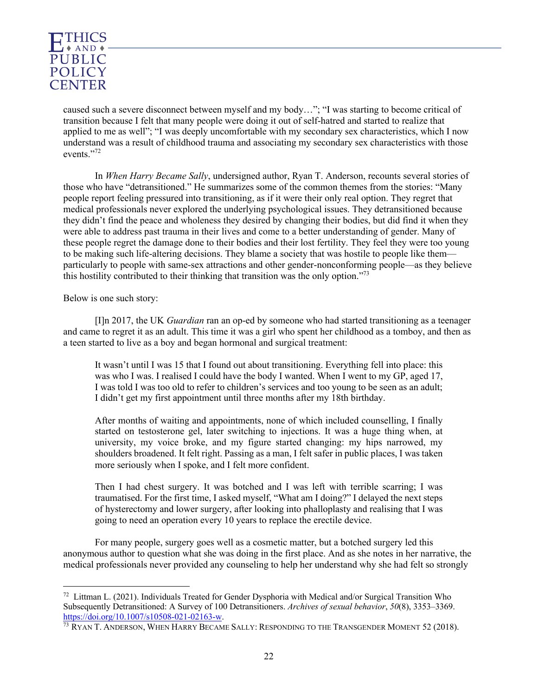

caused such a severe disconnect between myself and my body…"; "I was starting to become critical of transition because I felt that many people were doing it out of self-hatred and started to realize that applied to me as well"; "I was deeply uncomfortable with my secondary sex characteristics, which I now understand was a result of childhood trauma and associating my secondary sex characteristics with those events."72

In *When Harry Became Sally*, undersigned author, Ryan T. Anderson, recounts several stories of those who have "detransitioned." He summarizes some of the common themes from the stories: "Many people report feeling pressured into transitioning, as if it were their only real option. They regret that medical professionals never explored the underlying psychological issues. They detransitioned because they didn't find the peace and wholeness they desired by changing their bodies, but did find it when they were able to address past trauma in their lives and come to a better understanding of gender. Many of these people regret the damage done to their bodies and their lost fertility. They feel they were too young to be making such life-altering decisions. They blame a society that was hostile to people like them particularly to people with same-sex attractions and other gender-nonconforming people—as they believe this hostility contributed to their thinking that transition was the only option."<sup>73</sup>

Below is one such story:

[I]n 2017, the UK *Guardian* ran an op-ed by someone who had started transitioning as a teenager and came to regret it as an adult. This time it was a girl who spent her childhood as a tomboy, and then as a teen started to live as a boy and began hormonal and surgical treatment:

It wasn't until I was 15 that I found out about transitioning. Everything fell into place: this was who I was. I realised I could have the body I wanted. When I went to my GP, aged 17, I was told I was too old to refer to children's services and too young to be seen as an adult; I didn't get my first appointment until three months after my 18th birthday.

After months of waiting and appointments, none of which included counselling, I finally started on testosterone gel, later switching to injections. It was a huge thing when, at university, my voice broke, and my figure started changing: my hips narrowed, my shoulders broadened. It felt right. Passing as a man, I felt safer in public places, I was taken more seriously when I spoke, and I felt more confident.

Then I had chest surgery. It was botched and I was left with terrible scarring; I was traumatised. For the first time, I asked myself, "What am I doing?" I delayed the next steps of hysterectomy and lower surgery, after looking into phalloplasty and realising that I was going to need an operation every 10 years to replace the erectile device.

For many people, surgery goes well as a cosmetic matter, but a botched surgery led this anonymous author to question what she was doing in the first place. And as she notes in her narrative, the medical professionals never provided any counseling to help her understand why she had felt so strongly

<sup>72</sup> Littman L. (2021). Individuals Treated for Gender Dysphoria with Medical and/or Surgical Transition Who Subsequently Detransitioned: A Survey of 100 Detransitioners. *Archives of sexual behavior*, *50*(8), 3353–3369. https://doi.org/10.1007/s10508-021-02163-w.

<sup>&</sup>lt;sup>73</sup> RYAN T. ANDERSON, WHEN HARRY BECAME SALLY: RESPONDING TO THE TRANSGENDER MOMENT 52 (2018).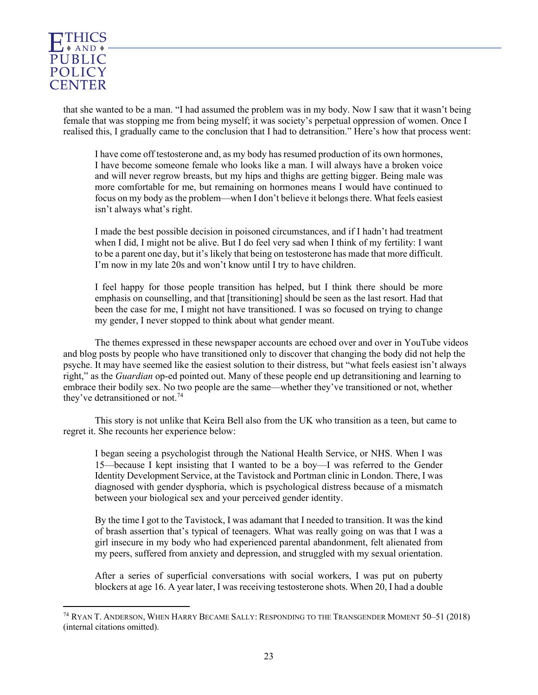

that she wanted to be a man. "I had assumed the problem was in my body. Now I saw that it wasn't being female that was stopping me from being myself; it was society's perpetual oppression of women. Once I realised this, I gradually came to the conclusion that I had to detransition." Here's how that process went:

I have come off testosterone and, as my body has resumed production of its own hormones, I have become someone female who looks like a man. I will always have a broken voice and will never regrow breasts, but my hips and thighs are getting bigger. Being male was more comfortable for me, but remaining on hormones means I would have continued to focus on my body as the problem—when I don't believe it belongs there. What feels easiest isn't always what's right.

I made the best possible decision in poisoned circumstances, and if I hadn't had treatment when I did, I might not be alive. But I do feel very sad when I think of my fertility: I want to be a parent one day, but it's likely that being on testosterone has made that more difficult. I'm now in my late 20s and won't know until I try to have children.

I feel happy for those people transition has helped, but I think there should be more emphasis on counselling, and that [transitioning] should be seen as the last resort. Had that been the case for me, I might not have transitioned. I was so focused on trying to change my gender, I never stopped to think about what gender meant.

The themes expressed in these newspaper accounts are echoed over and over in YouTube videos and blog posts by people who have transitioned only to discover that changing the body did not help the psyche. It may have seemed like the easiest solution to their distress, but "what feels easiest isn't always right," as the *Guardian* op-ed pointed out. Many of these people end up detransitioning and learning to embrace their bodily sex. No two people are the same—whether they've transitioned or not, whether they've detransitioned or not.<sup>74</sup>

This story is not unlike that Keira Bell also from the UK who transition as a teen, but came to regret it. She recounts her experience below:

I began seeing a psychologist through the National Health Service, or NHS. When I was 15—because I kept insisting that I wanted to be a boy—I was referred to the Gender Identity Development Service, at the Tavistock and Portman clinic in London. There, I was diagnosed with gender dysphoria, which is psychological distress because of a mismatch between your biological sex and your perceived gender identity.

By the time I got to the Tavistock, I was adamant that I needed to transition. It was the kind of brash assertion that's typical of teenagers. What was really going on was that I was a girl insecure in my body who had experienced parental abandonment, felt alienated from my peers, suffered from anxiety and depression, and struggled with my sexual orientation.

After a series of superficial conversations with social workers, I was put on puberty blockers at age 16. A year later, I was receiving testosterone shots. When 20, I had a double

<sup>74</sup> RYAN T. ANDERSON, WHEN HARRY BECAME SALLY: RESPONDING TO THE TRANSGENDER MOMENT 50–51 (2018) (internal citations omitted).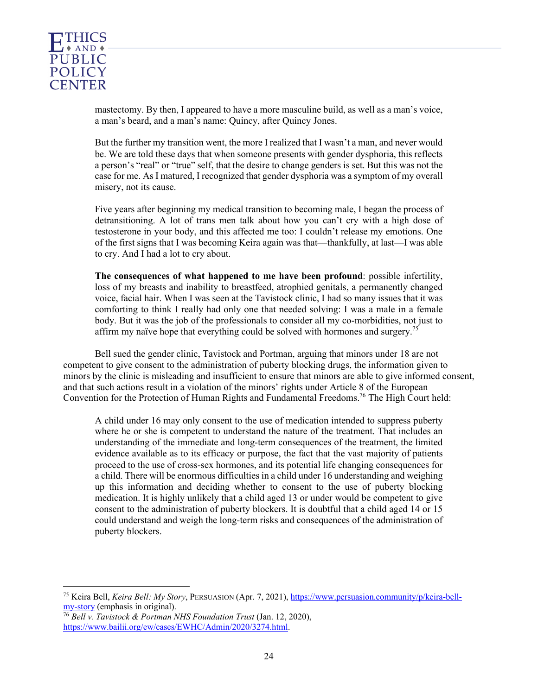

mastectomy. By then, I appeared to have a more masculine build, as well as a man's voice, a man's beard, and a man's name: Quincy, after Quincy Jones.

But the further my transition went, the more I realized that I wasn't a man, and never would be. We are told these days that when someone presents with gender dysphoria, this reflects a person's "real" or "true" self, that the desire to change genders is set. But this was not the case for me. As I matured, I recognized that gender dysphoria was a symptom of my overall misery, not its cause.

Five years after beginning my medical transition to becoming male, I began the process of detransitioning. A lot of trans men talk about how you can't cry with a high dose of testosterone in your body, and this affected me too: I couldn't release my emotions. One of the first signs that I was becoming Keira again was that—thankfully, at last—I was able to cry. And I had a lot to cry about.

**The consequences of what happened to me have been profound**: possible infertility, loss of my breasts and inability to breastfeed, atrophied genitals, a permanently changed voice, facial hair. When I was seen at the Tavistock clinic, I had so many issues that it was comforting to think I really had only one that needed solving: I was a male in a female body. But it was the job of the professionals to consider all my co-morbidities, not just to affirm my naïve hope that everything could be solved with hormones and surgery.<sup>75</sup>

Bell sued the gender clinic, Tavistock and Portman, arguing that minors under 18 are not competent to give consent to the administration of puberty blocking drugs, the information given to minors by the clinic is misleading and insufficient to ensure that minors are able to give informed consent, and that such actions result in a violation of the minors' rights under Article 8 of the European Convention for the Protection of Human Rights and Fundamental Freedoms.76 The High Court held:

A child under 16 may only consent to the use of medication intended to suppress puberty where he or she is competent to understand the nature of the treatment. That includes an understanding of the immediate and long-term consequences of the treatment, the limited evidence available as to its efficacy or purpose, the fact that the vast majority of patients proceed to the use of cross-sex hormones, and its potential life changing consequences for a child. There will be enormous difficulties in a child under 16 understanding and weighing up this information and deciding whether to consent to the use of puberty blocking medication. It is highly unlikely that a child aged 13 or under would be competent to give consent to the administration of puberty blockers. It is doubtful that a child aged 14 or 15 could understand and weigh the long-term risks and consequences of the administration of puberty blockers.

<sup>75</sup> Keira Bell, *Keira Bell: My Story*, PERSUASION (Apr. 7, 2021), https://www.persuasion.community/p/keira-bellmy-story (emphasis in original).

<sup>76</sup> *Bell v. Tavistock & Portman NHS Foundation Trust* (Jan. 12, 2020), https://www.bailii.org/ew/cases/EWHC/Admin/2020/3274.html.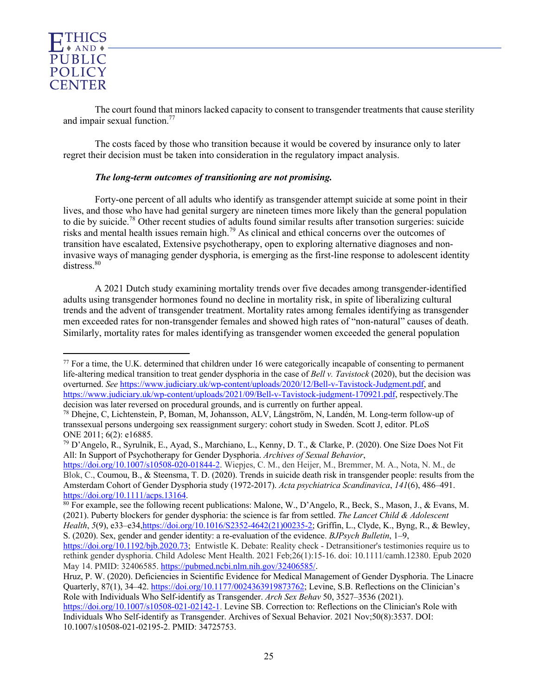

The court found that minors lacked capacity to consent to transgender treatments that cause sterility and impair sexual function.<sup>77</sup>

The costs faced by those who transition because it would be covered by insurance only to later regret their decision must be taken into consideration in the regulatory impact analysis.

#### *The long-term outcomes of transitioning are not promising.*

Forty-one percent of all adults who identify as transgender attempt suicide at some point in their lives, and those who have had genital surgery are nineteen times more likely than the general population to die by suicide.<sup>78</sup> Other recent studies of adults found similar results after transotion surgeries: suicide risks and mental health issues remain high.<sup>79</sup> As clinical and ethical concerns over the outcomes of transition have escalated, Extensive psychotherapy, open to exploring alternative diagnoses and noninvasive ways of managing gender dysphoria, is emerging as the first-line response to adolescent identity distress.<sup>80</sup>

A 2021 Dutch study examining mortality trends over five decades among transgender-identified adults using transgender hormones found no decline in mortality risk, in spite of liberalizing cultural trends and the advent of transgender treatment. Mortality rates among females identifying as transgender men exceeded rates for non-transgender females and showed high rates of "non-natural" causes of death. Similarly, mortality rates for males identifying as transgender women exceeded the general population

 $77$  For a time, the U.K. determined that children under 16 were categorically incapable of consenting to permanent life-altering medical transition to treat gender dysphoria in the case of *Bell v. Tavistock* (2020), but the decision was overturned. *See* https://www.judiciary.uk/wp-content/uploads/2020/12/Bell-v-Tavistock-Judgment.pdf, and https://www.judiciary.uk/wp-content/uploads/2021/09/Bell-v-Tavistock-judgment-170921.pdf, respectively.The decision was later reversed on procedural grounds, and is currently on further appeal.

<sup>78</sup> Dhejne, C, Lichtenstein, P, Boman, M, Johansson, ALV, Långström, N, Landén, M. Long-term follow-up of transsexual persons undergoing sex reassignment surgery: cohort study in Sweden. Scott J, editor. PLoS ONE 2011; 6(2): e16885.

<sup>79</sup> D'Angelo, R., Syrulnik, E., Ayad, S., Marchiano, L., Kenny, D. T., & Clarke, P. (2020). One Size Does Not Fit All: In Support of Psychotherapy for Gender Dysphoria. *Archives of Sexual Behavior*,

https://doi.org/10.1007/s10508-020-01844-2. Wiepjes, C. M., den Heijer, M., Bremmer, M. A., Nota, N. M., de Blok, C., Coumou, B., & Steensma, T. D. (2020). Trends in suicide death risk in transgender people: results from the Amsterdam Cohort of Gender Dysphoria study (1972-2017). *Acta psychiatrica Scandinavica*, *141*(6), 486–491. https://doi.org/10.1111/acps.13164.

<sup>&</sup>lt;sup>80</sup> For example, see the following recent publications: Malone, W., D'Angelo, R., Beck, S., Mason, J., & Evans, M. (2021). Puberty blockers for gender dysphoria: the science is far from settled. *The Lancet Child & Adolescent Health*, *5*(9), e33–e34,https://doi.org/10.1016/S2352-4642(21)00235-2; Griffin, L., Clyde, K., Byng, R., & Bewley, S. (2020). Sex, gender and gender identity: a re-evaluation of the evidence. *BJPsych Bulletin*, 1–9,

https://doi.org/10.1192/bjb.2020.73; Entwistle K. Debate: Reality check - Detransitioner's testimonies require us to rethink gender dysphoria. Child Adolesc Ment Health. 2021 Feb;26(1):15-16. doi: 10.1111/camh.12380. Epub 2020 May 14. PMID: 32406585. https://pubmed.ncbi.nlm.nih.gov/32406585/.

Hruz, P. W. (2020). Deficiencies in Scientific Evidence for Medical Management of Gender Dysphoria. The Linacre Quarterly, 87(1), 34–42. https://doi.org/10.1177/0024363919873762; Levine, S.B. Reflections on the Clinician's Role with Individuals Who Self-identify as Transgender. *Arch Sex Behav* 50, 3527–3536 (2021).

https://doi.org/10.1007/s10508-021-02142-1. Levine SB. Correction to: Reflections on the Clinician's Role with Individuals Who Self-identify as Transgender. Archives of Sexual Behavior. 2021 Nov;50(8):3537. DOI: 10.1007/s10508-021-02195-2. PMID: 34725753.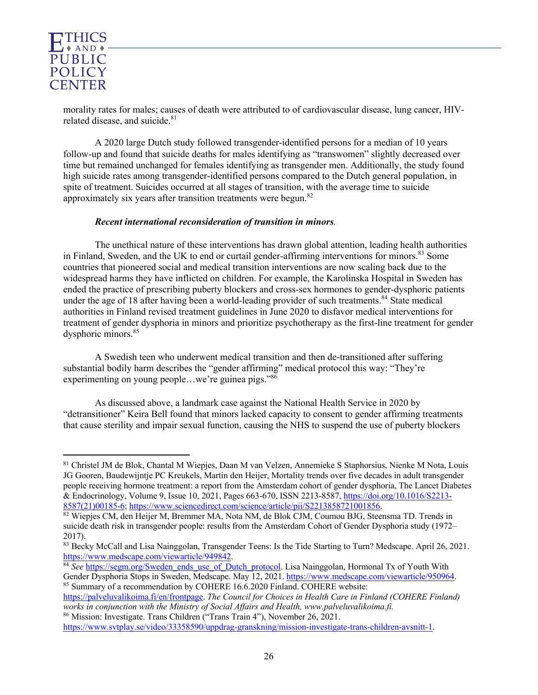

morality rates for males; causes of death were attributed to of cardiovascular disease, lung cancer, HIVrelated disease, and suicide.<sup>81</sup>

A 2020 large Dutch study followed transgender-identified persons for a median of 10 years follow-up and found that suicide deaths for males identifying as "transwomen" slightly decreased over time but remained unchanged for females identifying as transgender men. Additionally, the study found high suicide rates among transgender-identified persons compared to the Dutch general population, in spite of treatment. Suicides occurred at all stages of transition, with the average time to suicide approximately six years after transition treatments were begun.<sup>82</sup>

# *Recent international reconsideration of transition in minors.*

The unethical nature of these interventions has drawn global attention, leading health authorities in Finland, Sweden, and the UK to end or curtail gender-affirming interventions for minors.<sup>83</sup> Some countries that pioneered social and medical transition interventions are now scaling back due to the widespread harms they have inflicted on children. For example, the Karolinska Hospital in Sweden has ended the practice of prescribing puberty blockers and cross-sex hormones to gender-dysphoric patients under the age of 18 after having been a world-leading provider of such treatments.<sup>84</sup> State medical authorities in Finland revised treatment guidelines in June 2020 to disfavor medical interventions for treatment of gender dysphoria in minors and prioritize psychotherapy as the first-line treatment for gender dysphoric minors.<sup>85</sup>

A Swedish teen who underwent medical transition and then de-transitioned after suffering substantial bodily harm describes the "gender affirming" medical protocol this way: "They're experimenting on young people...we're guinea pigs." $86$ 

As discussed above, a landmark case against the National Health Service in 2020 by "detransitioner" Keira Bell found that minors lacked capacity to consent to gender affirming treatments that cause sterility and impair sexual function, causing the NHS to suspend the use of puberty blockers

https://www.svtplay.se/video/33358590/uppdrag-granskning/mission-investigate-trans-children-avsnitt-1.

<sup>81</sup> Christel JM de Blok, Chantal M Wiepjes, Daan M van Velzen, Annemieke S Staphorsius, Nienke M Nota, Louis JG Gooren, Baudewijntje PC Kreukels, Martin den Heijer, Mortality trends over five decades in adult transgender people receiving hormone treatment: a report from the Amsterdam cohort of gender dysphoria, The Lancet Diabetes & Endocrinology, Volume 9, Issue 10, 2021, Pages 663-670, ISSN 2213-8587, https://doi.org/10.1016/S2213- 8587(21)00185-6; https://www.sciencedirect.com/science/article/pii/S2213858721001856.

<sup>82</sup> Wiepjes CM, den Heijer M, Bremmer MA, Nota NM, de Blok CJM, Coumou BJG, Steensma TD. Trends in suicide death risk in transgender people: results from the Amsterdam Cohort of Gender Dysphoria study (1972– 2017).

<sup>83</sup> Becky McCall and Lisa Nainggolan, Transgender Teens: Is the Tide Starting to Turn? Medscape. April 26, 2021. https://www.medscape.com/viewarticle/949842.

<sup>&</sup>lt;sup>84</sup> See https://segm.org/Sweden\_ends\_use\_of\_Dutch\_protocol. Lisa Nainggolan, Hormonal Tx of Youth With Gender Dysphoria Stops in Sweden, Medscape. May 12, 2021. https://www.medscape.com/viewarticle/950964. <sup>85</sup> Summary of a recommendation by COHERE 16.6.2020 Finland. COHERE website:

https://palveluvalikoima.fi/en/frontpage. *The Council for Choices in Health Care in Finland (COHERE Finland) works in conjunction with the Ministry of Social Affairs and Health, www.palveluvalikoima.fi.* <sup>86</sup> Mission: Investigate. Trans Children ("Trans Train 4"), November 26, 2021.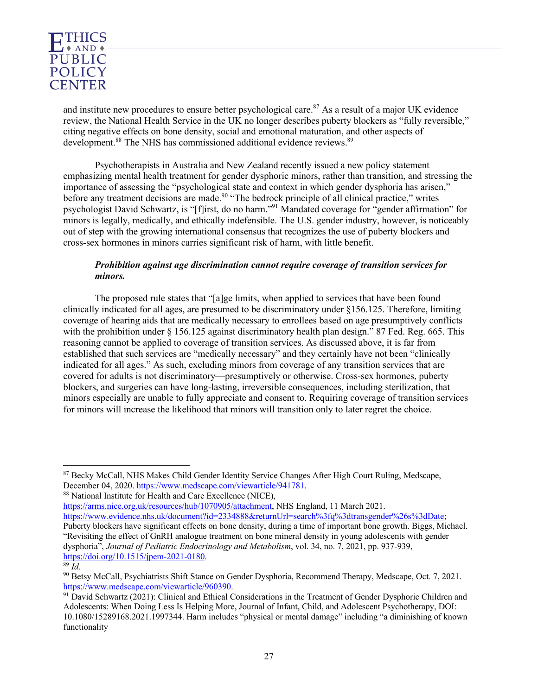

and institute new procedures to ensure better psychological care.<sup>87</sup> As a result of a major UK evidence review, the National Health Service in the UK no longer describes puberty blockers as "fully reversible," citing negative effects on bone density, social and emotional maturation, and other aspects of development.<sup>88</sup> The NHS has commissioned additional evidence reviews.<sup>89</sup>

Psychotherapists in Australia and New Zealand recently issued a new policy statement emphasizing mental health treatment for gender dysphoric minors, rather than transition, and stressing the importance of assessing the "psychological state and context in which gender dysphoria has arisen," before any treatment decisions are made.<sup>90</sup> "The bedrock principle of all clinical practice," writes psychologist David Schwartz, is "[f]irst, do no harm."91 Mandated coverage for "gender affirmation" for minors is legally, medically, and ethically indefensible. The U.S. gender industry, however, is noticeably out of step with the growing international consensus that recognizes the use of puberty blockers and cross-sex hormones in minors carries significant risk of harm, with little benefit.

# *Prohibition against age discrimination cannot require coverage of transition services for minors.*

The proposed rule states that "[a]ge limits, when applied to services that have been found clinically indicated for all ages, are presumed to be discriminatory under §156.125. Therefore, limiting coverage of hearing aids that are medically necessary to enrollees based on age presumptively conflicts with the prohibition under  $\S 156.125$  against discriminatory health plan design." 87 Fed. Reg. 665. This reasoning cannot be applied to coverage of transition services. As discussed above, it is far from established that such services are "medically necessary" and they certainly have not been "clinically indicated for all ages." As such, excluding minors from coverage of any transition services that are covered for adults is not discriminatory—presumptively or otherwise. Cross-sex hormones, puberty blockers, and surgeries can have long-lasting, irreversible consequences, including sterilization, that minors especially are unable to fully appreciate and consent to. Requiring coverage of transition services for minors will increase the likelihood that minors will transition only to later regret the choice.

https://arms.nice.org.uk/resources/hub/1070905/attachment, NHS England, 11 March 2021. https://www.evidence.nhs.uk/document?id=2334888&returnUrl=search%3fq%3dtransgender%26s%3dDate; Puberty blockers have significant effects on bone density, during a time of important bone growth. Biggs, Michael.

"Revisiting the effect of GnRH analogue treatment on bone mineral density in young adolescents with gender dysphoria", *Journal of Pediatric Endocrinology and Metabolism*, vol. 34, no. 7, 2021, pp. 937-939, https://doi.org/10.1515/jpem-2021-0180.

<sup>87</sup> Becky McCall, NHS Makes Child Gender Identity Service Changes After High Court Ruling, Medscape, December 04, 2020. https://www.medscape.com/viewarticle/941781.

<sup>88</sup> National Institute for Health and Care Excellence (NICE),

 $\overline{89}$  *Id.* 

<sup>90</sup> Betsy McCall, Psychiatrists Shift Stance on Gender Dysphoria, Recommend Therapy, Medscape, Oct. 7, 2021. https://www.medscape.com/viewarticle/960390.

<sup>&</sup>lt;sup>91</sup> David Schwartz (2021): Clinical and Ethical Considerations in the Treatment of Gender Dysphoric Children and Adolescents: When Doing Less Is Helping More, Journal of Infant, Child, and Adolescent Psychotherapy, DOI: 10.1080/15289168.2021.1997344. Harm includes "physical or mental damage" including "a diminishing of known functionality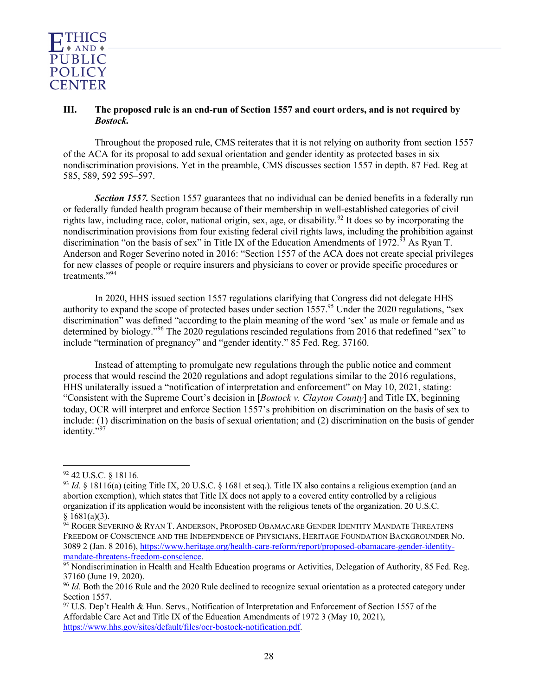

# **III. The proposed rule is an end-run of Section 1557 and court orders, and is not required by**  *Bostock.*

Throughout the proposed rule, CMS reiterates that it is not relying on authority from section 1557 of the ACA for its proposal to add sexual orientation and gender identity as protected bases in six nondiscrimination provisions. Yet in the preamble, CMS discusses section 1557 in depth. 87 Fed. Reg at 585, 589, 592 595–597.

**Section 1557.** Section 1557 guarantees that no individual can be denied benefits in a federally run or federally funded health program because of their membership in well-established categories of civil rights law, including race, color, national origin, sex, age, or disability.<sup>92</sup> It does so by incorporating the nondiscrimination provisions from four existing federal civil rights laws, including the prohibition against discrimination "on the basis of sex" in Title IX of the Education Amendments of 1972.<sup>93</sup> As Ryan T. Anderson and Roger Severino noted in 2016: "Section 1557 of the ACA does not create special privileges for new classes of people or require insurers and physicians to cover or provide specific procedures or treatments."<sup>94</sup>

In 2020, HHS issued section 1557 regulations clarifying that Congress did not delegate HHS authority to expand the scope of protected bases under section  $1557<sup>95</sup>$  Under the 2020 regulations, "sex discrimination" was defined "according to the plain meaning of the word 'sex' as male or female and as determined by biology."<sup>96</sup> The 2020 regulations rescinded regulations from 2016 that redefined "sex" to include "termination of pregnancy" and "gender identity." 85 Fed. Reg. 37160.

Instead of attempting to promulgate new regulations through the public notice and comment process that would rescind the 2020 regulations and adopt regulations similar to the 2016 regulations, HHS unilaterally issued a "notification of interpretation and enforcement" on May 10, 2021, stating: "Consistent with the Supreme Court's decision in [*Bostock v. Clayton County*] and Title IX, beginning today, OCR will interpret and enforce Section 1557's prohibition on discrimination on the basis of sex to include: (1) discrimination on the basis of sexual orientation; and (2) discrimination on the basis of gender identity."<sup>97</sup>

<sup>92</sup> 42 U.S.C. § 18116.

<sup>93</sup> *Id.* § 18116(a) (citing Title IX, 20 U.S.C. § 1681 et seq.). Title IX also contains a religious exemption (and an abortion exemption), which states that Title IX does not apply to a covered entity controlled by a religious organization if its application would be inconsistent with the religious tenets of the organization. 20 U.S.C.  $§ 1681(a)(3).$ 

<sup>&</sup>lt;sup>94</sup> ROGER SEVERINO & RYAN T. ANDERSON, PROPOSED OBAMACARE GENDER IDENTITY MANDATE THREATENS FREEDOM OF CONSCIENCE AND THE INDEPENDENCE OF PHYSICIANS, HERITAGE FOUNDATION BACKGROUNDER NO. 3089 2 (Jan. 8 2016), https://www.heritage.org/health-care-reform/report/proposed-obamacare-gender-identitymandate-threatens-freedom-conscience.

 $\frac{95}{95}$  Nondiscrimination in Health and Health Education programs or Activities, Delegation of Authority, 85 Fed. Reg. 37160 (June 19, 2020).

<sup>96</sup> *Id.* Both the 2016 Rule and the 2020 Rule declined to recognize sexual orientation as a protected category under Section 1557.

<sup>&</sup>lt;sup>97</sup> U.S. Dep't Health & Hun. Servs., Notification of Interpretation and Enforcement of Section 1557 of the Affordable Care Act and Title IX of the Education Amendments of 1972 3 (May 10, 2021), https://www.hhs.gov/sites/default/files/ocr-bostock-notification.pdf.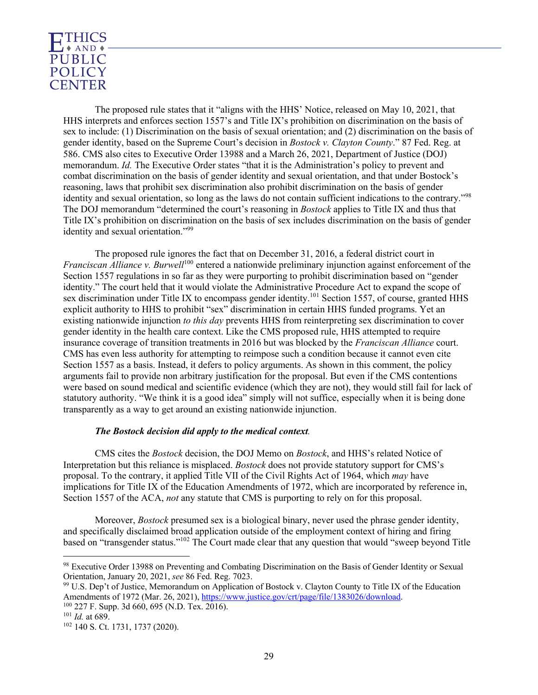

The proposed rule states that it "aligns with the HHS' Notice, released on May 10, 2021, that HHS interprets and enforces section 1557's and Title IX's prohibition on discrimination on the basis of sex to include: (1) Discrimination on the basis of sexual orientation; and (2) discrimination on the basis of gender identity, based on the Supreme Court's decision in *Bostock v. Clayton County*." 87 Fed. Reg. at 586. CMS also cites to Executive Order 13988 and a March 26, 2021, Department of Justice (DOJ) memorandum. *Id.* The Executive Order states "that it is the Administration's policy to prevent and combat discrimination on the basis of gender identity and sexual orientation, and that under Bostock's reasoning, laws that prohibit sex discrimination also prohibit discrimination on the basis of gender identity and sexual orientation, so long as the laws do not contain sufficient indications to the contrary."<sup>98</sup> The DOJ memorandum "determined the court's reasoning in *Bostock* applies to Title IX and thus that Title IX's prohibition on discrimination on the basis of sex includes discrimination on the basis of gender identity and sexual orientation."<sup>99</sup>

The proposed rule ignores the fact that on December 31, 2016, a federal district court in *Franciscan Alliance v. Burwell*<sup>100</sup> entered a nationwide preliminary injunction against enforcement of the Section 1557 regulations in so far as they were purporting to prohibit discrimination based on "gender identity." The court held that it would violate the Administrative Procedure Act to expand the scope of sex discrimination under Title IX to encompass gender identity.<sup>101</sup> Section 1557, of course, granted HHS explicit authority to HHS to prohibit "sex" discrimination in certain HHS funded programs. Yet an existing nationwide injunction *to this day* prevents HHS from reinterpreting sex discrimination to cover gender identity in the health care context. Like the CMS proposed rule, HHS attempted to require insurance coverage of transition treatments in 2016 but was blocked by the *Franciscan Alliance* court. CMS has even less authority for attempting to reimpose such a condition because it cannot even cite Section 1557 as a basis. Instead, it defers to policy arguments. As shown in this comment, the policy arguments fail to provide non arbitrary justification for the proposal. But even if the CMS contentions were based on sound medical and scientific evidence (which they are not), they would still fail for lack of statutory authority. "We think it is a good idea" simply will not suffice, especially when it is being done transparently as a way to get around an existing nationwide injunction.

# *The Bostock decision did apply to the medical context.*

CMS cites the *Bostock* decision, the DOJ Memo on *Bostock*, and HHS's related Notice of Interpretation but this reliance is misplaced. *Bostock* does not provide statutory support for CMS's proposal. To the contrary, it applied Title VII of the Civil Rights Act of 1964, which *may* have implications for Title IX of the Education Amendments of 1972, which are incorporated by reference in, Section 1557 of the ACA, *not* any statute that CMS is purporting to rely on for this proposal.

Moreover, *Bostock* presumed sex is a biological binary, never used the phrase gender identity, and specifically disclaimed broad application outside of the employment context of hiring and firing based on "transgender status."<sup>102</sup> The Court made clear that any question that would "sweep beyond Title

<sup>98</sup> Executive Order 13988 on Preventing and Combating Discrimination on the Basis of Gender Identity or Sexual Orientation, January 20, 2021, *see* 86 Fed. Reg. 7023.

<sup>99</sup> U.S. Dep't of Justice, Memorandum on Application of Bostock v. Clayton County to Title IX of the Education Amendments of 1972 (Mar. 26, 2021), https://www.justice.gov/crt/page/file/1383026/download. <sup>100</sup> 227 F. Supp. 3d 660, 695 (N.D. Tex. 2016).

<sup>101</sup> *Id.* at 689.

<sup>102</sup> 140 S. Ct. 1731, 1737 (2020).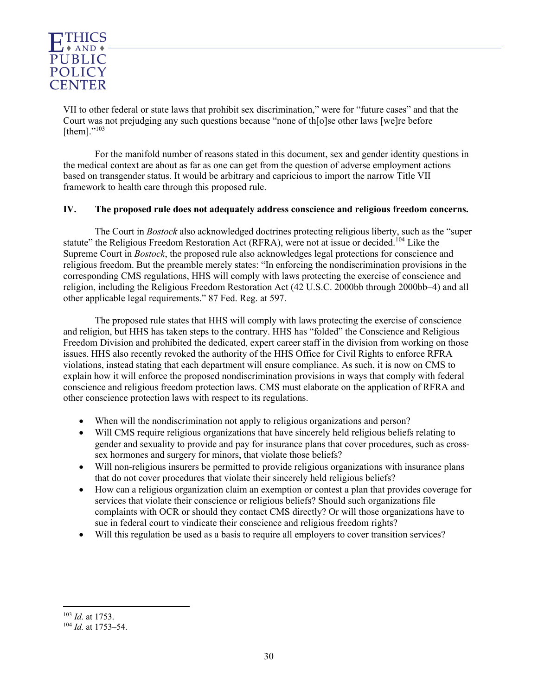

VII to other federal or state laws that prohibit sex discrimination," were for "future cases" and that the Court was not prejudging any such questions because "none of th[o]se other laws [we]re before  $[them].$ <sup> $103$ </sup>

For the manifold number of reasons stated in this document, sex and gender identity questions in the medical context are about as far as one can get from the question of adverse employment actions based on transgender status. It would be arbitrary and capricious to import the narrow Title VII framework to health care through this proposed rule.

# **IV. The proposed rule does not adequately address conscience and religious freedom concerns.**

The Court in *Bostock* also acknowledged doctrines protecting religious liberty, such as the "super statute" the Religious Freedom Restoration Act (RFRA), were not at issue or decided.<sup>104</sup> Like the Supreme Court in *Bostock*, the proposed rule also acknowledges legal protections for conscience and religious freedom. But the preamble merely states: "In enforcing the nondiscrimination provisions in the corresponding CMS regulations, HHS will comply with laws protecting the exercise of conscience and religion, including the Religious Freedom Restoration Act (42 U.S.C. 2000bb through 2000bb–4) and all other applicable legal requirements." 87 Fed. Reg. at 597.

The proposed rule states that HHS will comply with laws protecting the exercise of conscience and religion, but HHS has taken steps to the contrary. HHS has "folded" the Conscience and Religious Freedom Division and prohibited the dedicated, expert career staff in the division from working on those issues. HHS also recently revoked the authority of the HHS Office for Civil Rights to enforce RFRA violations, instead stating that each department will ensure compliance. As such, it is now on CMS to explain how it will enforce the proposed nondiscrimination provisions in ways that comply with federal conscience and religious freedom protection laws. CMS must elaborate on the application of RFRA and other conscience protection laws with respect to its regulations.

- When will the nondiscrimination not apply to religious organizations and person?
- Will CMS require religious organizations that have sincerely held religious beliefs relating to gender and sexuality to provide and pay for insurance plans that cover procedures, such as crosssex hormones and surgery for minors, that violate those beliefs?
- Will non-religious insurers be permitted to provide religious organizations with insurance plans that do not cover procedures that violate their sincerely held religious beliefs?
- How can a religious organization claim an exemption or contest a plan that provides coverage for services that violate their conscience or religious beliefs? Should such organizations file complaints with OCR or should they contact CMS directly? Or will those organizations have to sue in federal court to vindicate their conscience and religious freedom rights?
- Will this regulation be used as a basis to require all employers to cover transition services?

<sup>103</sup> *Id.* at 1753.

<sup>104</sup> *Id.* at 1753–54.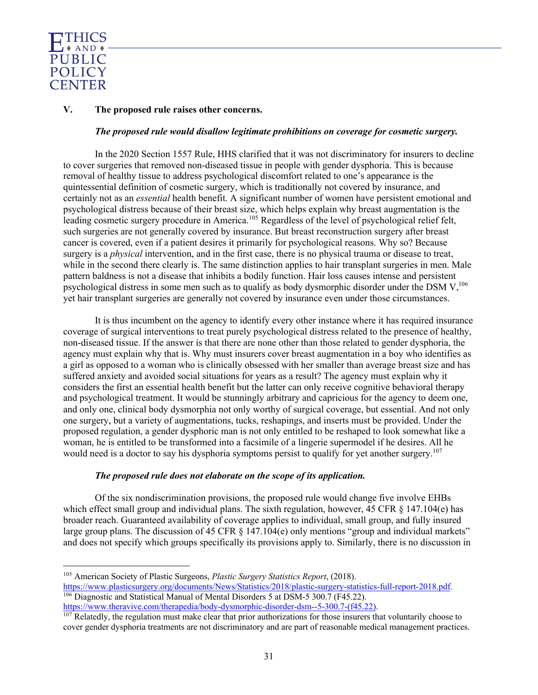

# **V. The proposed rule raises other concerns.**

#### *The proposed rule would disallow legitimate prohibitions on coverage for cosmetic surgery.*

In the 2020 Section 1557 Rule, HHS clarified that it was not discriminatory for insurers to decline to cover surgeries that removed non-diseased tissue in people with gender dysphoria. This is because removal of healthy tissue to address psychological discomfort related to one's appearance is the quintessential definition of cosmetic surgery, which is traditionally not covered by insurance, and certainly not as an *essential* health benefit. A significant number of women have persistent emotional and psychological distress because of their breast size, which helps explain why breast augmentation is the leading cosmetic surgery procedure in America.<sup>105</sup> Regardless of the level of psychological relief felt, such surgeries are not generally covered by insurance. But breast reconstruction surgery after breast cancer is covered, even if a patient desires it primarily for psychological reasons. Why so? Because surgery is a *physical* intervention, and in the first case, there is no physical trauma or disease to treat, while in the second there clearly is. The same distinction applies to hair transplant surgeries in men. Male pattern baldness is not a disease that inhibits a bodily function. Hair loss causes intense and persistent psychological distress in some men such as to qualify as body dysmorphic disorder under the DSM V,<sup>106</sup> yet hair transplant surgeries are generally not covered by insurance even under those circumstances.

It is thus incumbent on the agency to identify every other instance where it has required insurance coverage of surgical interventions to treat purely psychological distress related to the presence of healthy, non-diseased tissue. If the answer is that there are none other than those related to gender dysphoria, the agency must explain why that is. Why must insurers cover breast augmentation in a boy who identifies as a girl as opposed to a woman who is clinically obsessed with her smaller than average breast size and has suffered anxiety and avoided social situations for years as a result? The agency must explain why it considers the first an essential health benefit but the latter can only receive cognitive behavioral therapy and psychological treatment. It would be stunningly arbitrary and capricious for the agency to deem one, and only one, clinical body dysmorphia not only worthy of surgical coverage, but essential. And not only one surgery, but a variety of augmentations, tucks, reshapings, and inserts must be provided. Under the proposed regulation, a gender dysphoric man is not only entitled to be reshaped to look somewhat like a woman, he is entitled to be transformed into a facsimile of a lingerie supermodel if he desires. All he would need is a doctor to say his dysphoria symptoms persist to qualify for yet another surgery.<sup>107</sup>

# *The proposed rule does not elaborate on the scope of its application.*

Of the six nondiscrimination provisions, the proposed rule would change five involve EHBs which effect small group and individual plans. The sixth regulation, however, 45 CFR § 147.104(e) has broader reach. Guaranteed availability of coverage applies to individual, small group, and fully insured large group plans. The discussion of 45 CFR § 147.104(e) only mentions "group and individual markets" and does not specify which groups specifically its provisions apply to. Similarly, there is no discussion in

<sup>105</sup> American Society of Plastic Surgeons, *Plastic Surgery Statistics Report*, (2018). https://www.plasticsurgery.org/documents/News/Statistics/2018/plastic-surgery-statistics-full-report-2018.pdf. <sup>106</sup> Diagnostic and Statistical Manual of Mental Disorders 5 at DSM-5 300.7 (F45.22).

https://www.theravive.com/therapedia/body-dysmorphic-disorder-dsm--5-300.7-(f45.22).

<sup>&</sup>lt;sup>107</sup> Relatedly, the regulation must make clear that prior authorizations for those insurers that voluntarily choose to cover gender dysphoria treatments are not discriminatory and are part of reasonable medical management practices.